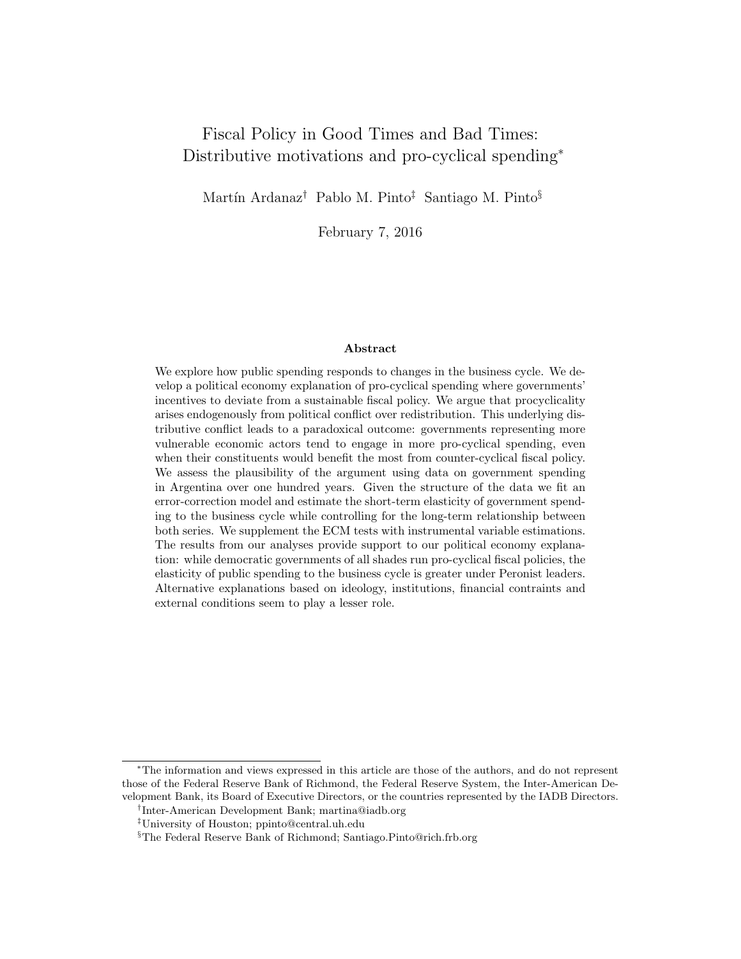# Fiscal Policy in Good Times and Bad Times: Distributive motivations and pro-cyclical spending<sup>∗</sup>

Martín Ardanaz<sup>†</sup> Pablo M. Pinto<sup>‡</sup> Santiago M. Pinto<sup>§</sup>

February 7, 2016

#### Abstract

We explore how public spending responds to changes in the business cycle. We develop a political economy explanation of pro-cyclical spending where governments' incentives to deviate from a sustainable fiscal policy. We argue that procyclicality arises endogenously from political conflict over redistribution. This underlying distributive conflict leads to a paradoxical outcome: governments representing more vulnerable economic actors tend to engage in more pro-cyclical spending, even when their constituents would benefit the most from counter-cyclical fiscal policy. We assess the plausibility of the argument using data on government spending in Argentina over one hundred years. Given the structure of the data we fit an error-correction model and estimate the short-term elasticity of government spending to the business cycle while controlling for the long-term relationship between both series. We supplement the ECM tests with instrumental variable estimations. The results from our analyses provide support to our political economy explanation: while democratic governments of all shades run pro-cyclical fiscal policies, the elasticity of public spending to the business cycle is greater under Peronist leaders. Alternative explanations based on ideology, institutions, financial contraints and external conditions seem to play a lesser role.

<sup>∗</sup>The information and views expressed in this article are those of the authors, and do not represent those of the Federal Reserve Bank of Richmond, the Federal Reserve System, the Inter-American Development Bank, its Board of Executive Directors, or the countries represented by the IADB Directors.

<sup>†</sup> Inter-American Development Bank; martina@iadb.org

<sup>‡</sup>University of Houston; ppinto@central.uh.edu

<sup>§</sup>The Federal Reserve Bank of Richmond; Santiago.Pinto@rich.frb.org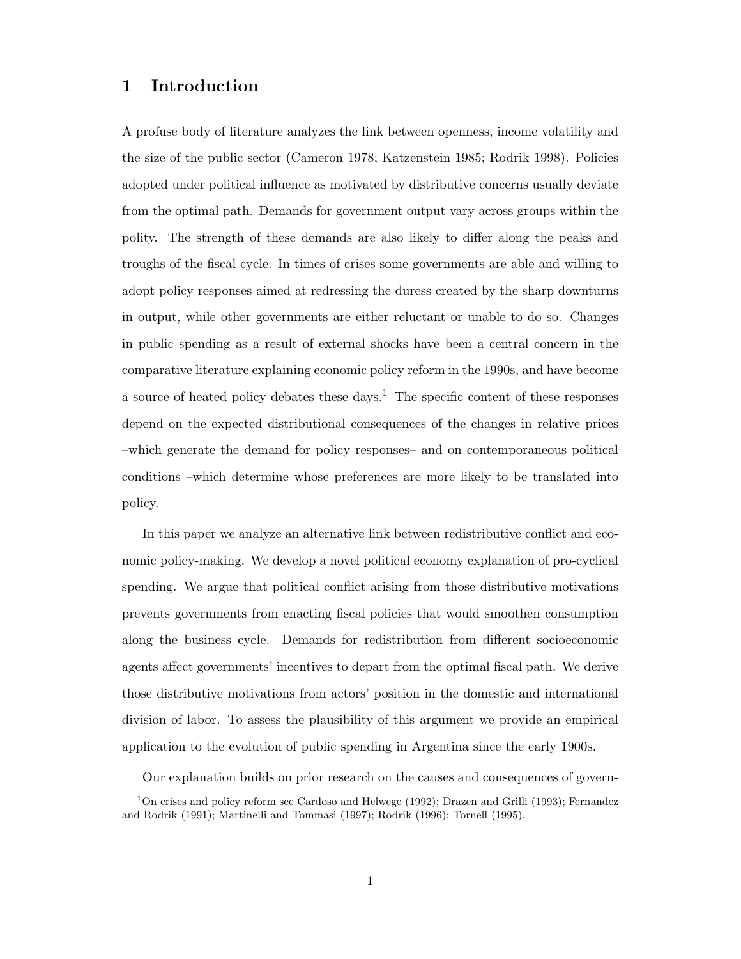# 1 Introduction

A profuse body of literature analyzes the link between openness, income volatility and the size of the public sector (Cameron 1978; Katzenstein 1985; Rodrik 1998). Policies adopted under political influence as motivated by distributive concerns usually deviate from the optimal path. Demands for government output vary across groups within the polity. The strength of these demands are also likely to differ along the peaks and troughs of the fiscal cycle. In times of crises some governments are able and willing to adopt policy responses aimed at redressing the duress created by the sharp downturns in output, while other governments are either reluctant or unable to do so. Changes in public spending as a result of external shocks have been a central concern in the comparative literature explaining economic policy reform in the 1990s, and have become a source of heated policy debates these days.<sup>1</sup> The specific content of these responses depend on the expected distributional consequences of the changes in relative prices –which generate the demand for policy responses– and on contemporaneous political conditions –which determine whose preferences are more likely to be translated into policy.

In this paper we analyze an alternative link between redistributive conflict and economic policy-making. We develop a novel political economy explanation of pro-cyclical spending. We argue that political conflict arising from those distributive motivations prevents governments from enacting fiscal policies that would smoothen consumption along the business cycle. Demands for redistribution from different socioeconomic agents affect governments' incentives to depart from the optimal fiscal path. We derive those distributive motivations from actors' position in the domestic and international division of labor. To assess the plausibility of this argument we provide an empirical application to the evolution of public spending in Argentina since the early 1900s.

Our explanation builds on prior research on the causes and consequences of govern-

<sup>&</sup>lt;sup>1</sup>On crises and policy reform see Cardoso and Helwege (1992); Drazen and Grilli (1993); Fernandez and Rodrik (1991); Martinelli and Tommasi (1997); Rodrik (1996); Tornell (1995).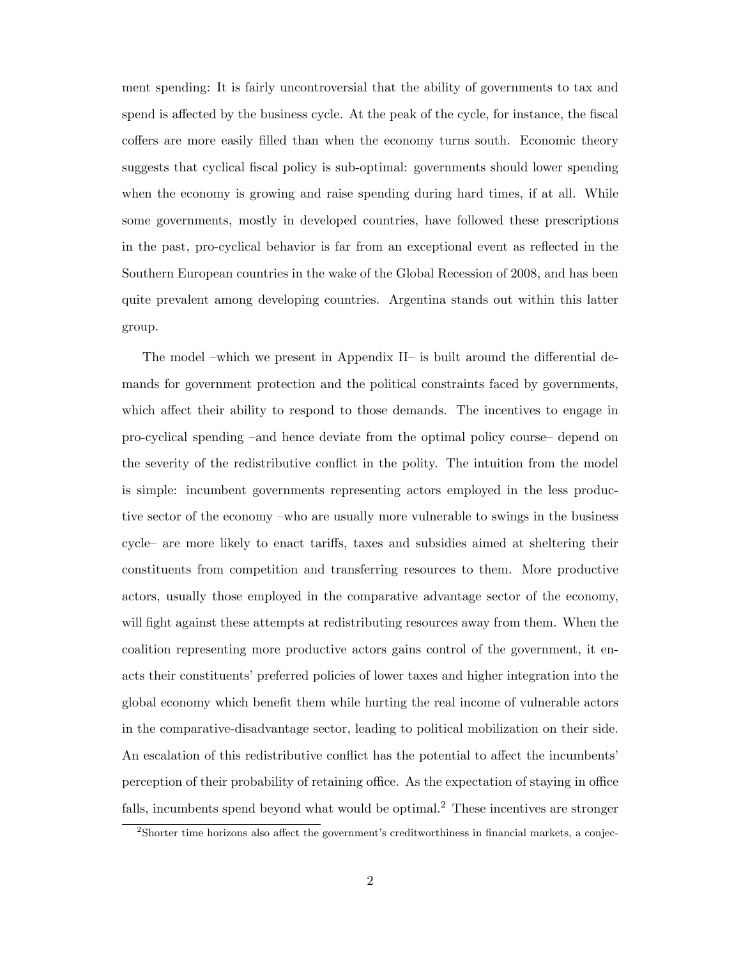ment spending: It is fairly uncontroversial that the ability of governments to tax and spend is affected by the business cycle. At the peak of the cycle, for instance, the fiscal coffers are more easily filled than when the economy turns south. Economic theory suggests that cyclical fiscal policy is sub-optimal: governments should lower spending when the economy is growing and raise spending during hard times, if at all. While some governments, mostly in developed countries, have followed these prescriptions in the past, pro-cyclical behavior is far from an exceptional event as reflected in the Southern European countries in the wake of the Global Recession of 2008, and has been quite prevalent among developing countries. Argentina stands out within this latter group.

The model –which we present in Appendix II– is built around the differential demands for government protection and the political constraints faced by governments, which affect their ability to respond to those demands. The incentives to engage in pro-cyclical spending –and hence deviate from the optimal policy course– depend on the severity of the redistributive conflict in the polity. The intuition from the model is simple: incumbent governments representing actors employed in the less productive sector of the economy –who are usually more vulnerable to swings in the business cycle– are more likely to enact tariffs, taxes and subsidies aimed at sheltering their constituents from competition and transferring resources to them. More productive actors, usually those employed in the comparative advantage sector of the economy, will fight against these attempts at redistributing resources away from them. When the coalition representing more productive actors gains control of the government, it enacts their constituents' preferred policies of lower taxes and higher integration into the global economy which benefit them while hurting the real income of vulnerable actors in the comparative-disadvantage sector, leading to political mobilization on their side. An escalation of this redistributive conflict has the potential to affect the incumbents' perception of their probability of retaining office. As the expectation of staying in office falls, incumbents spend beyond what would be optimal.<sup>2</sup> These incentives are stronger

<sup>2</sup>Shorter time horizons also affect the government's creditworthiness in financial markets, a conjec-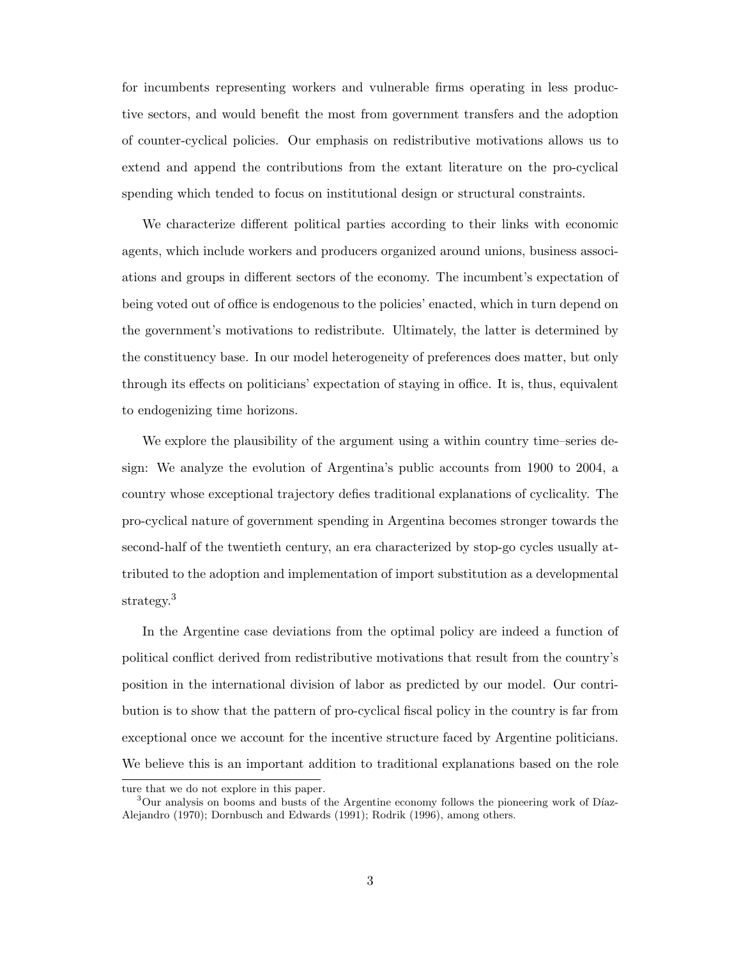for incumbents representing workers and vulnerable firms operating in less productive sectors, and would benefit the most from government transfers and the adoption of counter-cyclical policies. Our emphasis on redistributive motivations allows us to extend and append the contributions from the extant literature on the pro-cyclical spending which tended to focus on institutional design or structural constraints.

We characterize different political parties according to their links with economic agents, which include workers and producers organized around unions, business associations and groups in different sectors of the economy. The incumbent's expectation of being voted out of office is endogenous to the policies' enacted, which in turn depend on the government's motivations to redistribute. Ultimately, the latter is determined by the constituency base. In our model heterogeneity of preferences does matter, but only through its effects on politicians' expectation of staying in office. It is, thus, equivalent to endogenizing time horizons.

We explore the plausibility of the argument using a within country time–series design: We analyze the evolution of Argentina's public accounts from 1900 to 2004, a country whose exceptional trajectory defies traditional explanations of cyclicality. The pro-cyclical nature of government spending in Argentina becomes stronger towards the second-half of the twentieth century, an era characterized by stop-go cycles usually attributed to the adoption and implementation of import substitution as a developmental strategy.<sup>3</sup>

In the Argentine case deviations from the optimal policy are indeed a function of political conflict derived from redistributive motivations that result from the country's position in the international division of labor as predicted by our model. Our contribution is to show that the pattern of pro-cyclical fiscal policy in the country is far from exceptional once we account for the incentive structure faced by Argentine politicians. We believe this is an important addition to traditional explanations based on the role

ture that we do not explore in this paper.

<sup>&</sup>lt;sup>3</sup>Our analysis on booms and busts of the Argentine economy follows the pioneering work of Díaz-Alejandro (1970); Dornbusch and Edwards (1991); Rodrik (1996), among others.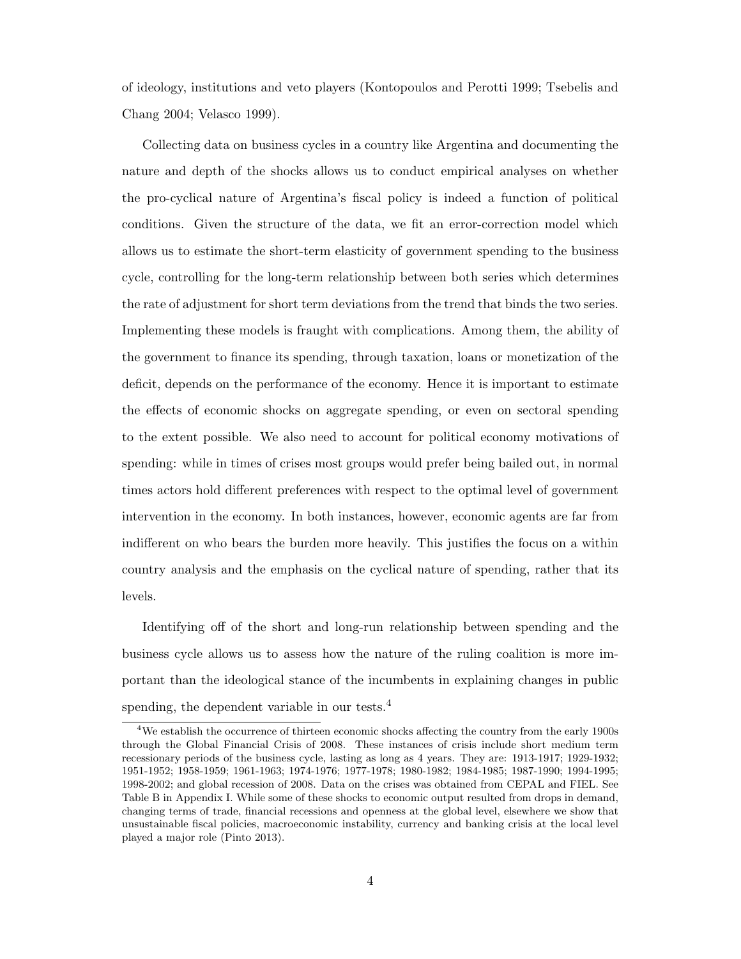of ideology, institutions and veto players (Kontopoulos and Perotti 1999; Tsebelis and Chang 2004; Velasco 1999).

Collecting data on business cycles in a country like Argentina and documenting the nature and depth of the shocks allows us to conduct empirical analyses on whether the pro-cyclical nature of Argentina's fiscal policy is indeed a function of political conditions. Given the structure of the data, we fit an error-correction model which allows us to estimate the short-term elasticity of government spending to the business cycle, controlling for the long-term relationship between both series which determines the rate of adjustment for short term deviations from the trend that binds the two series. Implementing these models is fraught with complications. Among them, the ability of the government to finance its spending, through taxation, loans or monetization of the deficit, depends on the performance of the economy. Hence it is important to estimate the effects of economic shocks on aggregate spending, or even on sectoral spending to the extent possible. We also need to account for political economy motivations of spending: while in times of crises most groups would prefer being bailed out, in normal times actors hold different preferences with respect to the optimal level of government intervention in the economy. In both instances, however, economic agents are far from indifferent on who bears the burden more heavily. This justifies the focus on a within country analysis and the emphasis on the cyclical nature of spending, rather that its levels.

Identifying off of the short and long-run relationship between spending and the business cycle allows us to assess how the nature of the ruling coalition is more important than the ideological stance of the incumbents in explaining changes in public spending, the dependent variable in our tests.<sup>4</sup>

<sup>&</sup>lt;sup>4</sup>We establish the occurrence of thirteen economic shocks affecting the country from the early 1900s through the Global Financial Crisis of 2008. These instances of crisis include short medium term recessionary periods of the business cycle, lasting as long as 4 years. They are: 1913-1917; 1929-1932; 1951-1952; 1958-1959; 1961-1963; 1974-1976; 1977-1978; 1980-1982; 1984-1985; 1987-1990; 1994-1995; 1998-2002; and global recession of 2008. Data on the crises was obtained from CEPAL and FIEL. See Table B in Appendix I. While some of these shocks to economic output resulted from drops in demand, changing terms of trade, financial recessions and openness at the global level, elsewhere we show that unsustainable fiscal policies, macroeconomic instability, currency and banking crisis at the local level played a major role (Pinto 2013).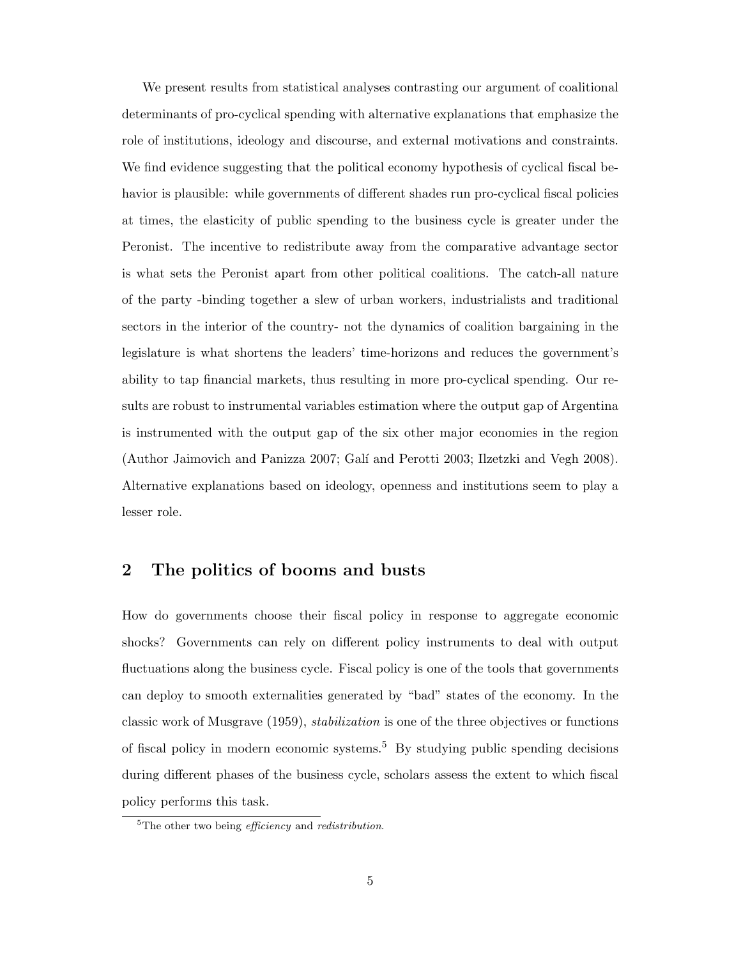We present results from statistical analyses contrasting our argument of coalitional determinants of pro-cyclical spending with alternative explanations that emphasize the role of institutions, ideology and discourse, and external motivations and constraints. We find evidence suggesting that the political economy hypothesis of cyclical fiscal behavior is plausible: while governments of different shades run pro-cyclical fiscal policies at times, the elasticity of public spending to the business cycle is greater under the Peronist. The incentive to redistribute away from the comparative advantage sector is what sets the Peronist apart from other political coalitions. The catch-all nature of the party -binding together a slew of urban workers, industrialists and traditional sectors in the interior of the country- not the dynamics of coalition bargaining in the legislature is what shortens the leaders' time-horizons and reduces the government's ability to tap financial markets, thus resulting in more pro-cyclical spending. Our results are robust to instrumental variables estimation where the output gap of Argentina is instrumented with the output gap of the six other major economies in the region (Author Jaimovich and Panizza 2007; Galí and Perotti 2003; Ilzetzki and Vegh 2008). Alternative explanations based on ideology, openness and institutions seem to play a lesser role.

# 2 The politics of booms and busts

How do governments choose their fiscal policy in response to aggregate economic shocks? Governments can rely on different policy instruments to deal with output fluctuations along the business cycle. Fiscal policy is one of the tools that governments can deploy to smooth externalities generated by "bad" states of the economy. In the classic work of Musgrave (1959), stabilization is one of the three objectives or functions of fiscal policy in modern economic systems.<sup>5</sup> By studying public spending decisions during different phases of the business cycle, scholars assess the extent to which fiscal policy performs this task.

 ${}^{5}$ The other two being *efficiency* and *redistribution*.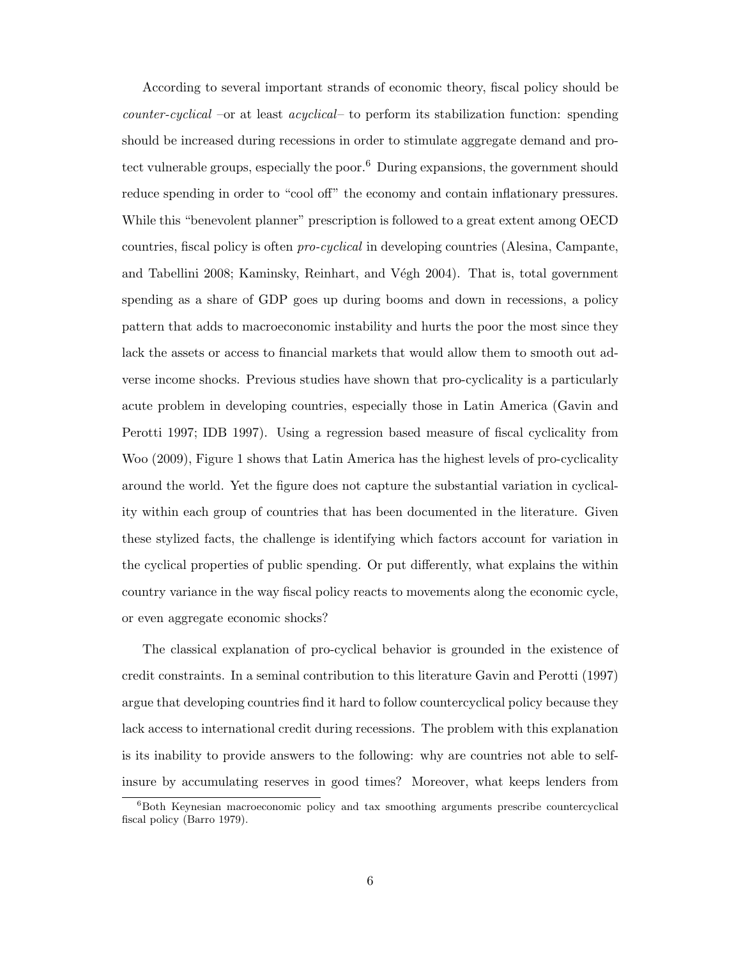According to several important strands of economic theory, fiscal policy should be counter-cyclical –or at least acyclical– to perform its stabilization function: spending should be increased during recessions in order to stimulate aggregate demand and protect vulnerable groups, especially the poor.<sup>6</sup> During expansions, the government should reduce spending in order to "cool off" the economy and contain inflationary pressures. While this "benevolent planner" prescription is followed to a great extent among OECD countries, fiscal policy is often pro-cyclical in developing countries (Alesina, Campante, and Tabellini 2008; Kaminsky, Reinhart, and Végh 2004). That is, total government spending as a share of GDP goes up during booms and down in recessions, a policy pattern that adds to macroeconomic instability and hurts the poor the most since they lack the assets or access to financial markets that would allow them to smooth out adverse income shocks. Previous studies have shown that pro-cyclicality is a particularly acute problem in developing countries, especially those in Latin America (Gavin and Perotti 1997; IDB 1997). Using a regression based measure of fiscal cyclicality from Woo (2009), Figure 1 shows that Latin America has the highest levels of pro-cyclicality around the world. Yet the figure does not capture the substantial variation in cyclicality within each group of countries that has been documented in the literature. Given these stylized facts, the challenge is identifying which factors account for variation in the cyclical properties of public spending. Or put differently, what explains the within country variance in the way fiscal policy reacts to movements along the economic cycle, or even aggregate economic shocks?

The classical explanation of pro-cyclical behavior is grounded in the existence of credit constraints. In a seminal contribution to this literature Gavin and Perotti (1997) argue that developing countries find it hard to follow countercyclical policy because they lack access to international credit during recessions. The problem with this explanation is its inability to provide answers to the following: why are countries not able to selfinsure by accumulating reserves in good times? Moreover, what keeps lenders from

<sup>&</sup>lt;sup>6</sup>Both Keynesian macroeconomic policy and tax smoothing arguments prescribe countercyclical fiscal policy (Barro 1979).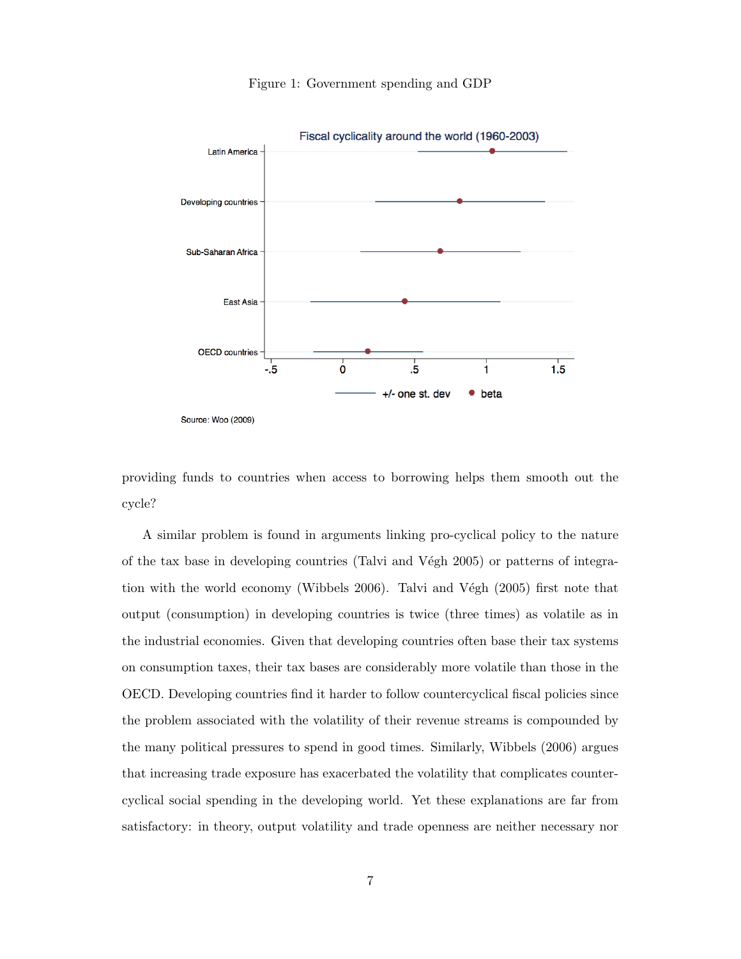

Figure 1: Government spending and GDP

providing funds to countries when access to borrowing helps them smooth out the cycle?

A similar problem is found in arguments linking pro-cyclical policy to the nature of the tax base in developing countries (Talvi and V $\acute{e}$ gh 2005) or patterns of integration with the world economy (Wibbels 2006). Talvi and Végh (2005) first note that output (consumption) in developing countries is twice (three times) as volatile as in the industrial economies. Given that developing countries often base their tax systems on consumption taxes, their tax bases are considerably more volatile than those in the OECD. Developing countries find it harder to follow countercyclical fiscal policies since the problem associated with the volatility of their revenue streams is compounded by the many political pressures to spend in good times. Similarly, Wibbels (2006) argues that increasing trade exposure has exacerbated the volatility that complicates countercyclical social spending in the developing world. Yet these explanations are far from satisfactory: in theory, output volatility and trade openness are neither necessary nor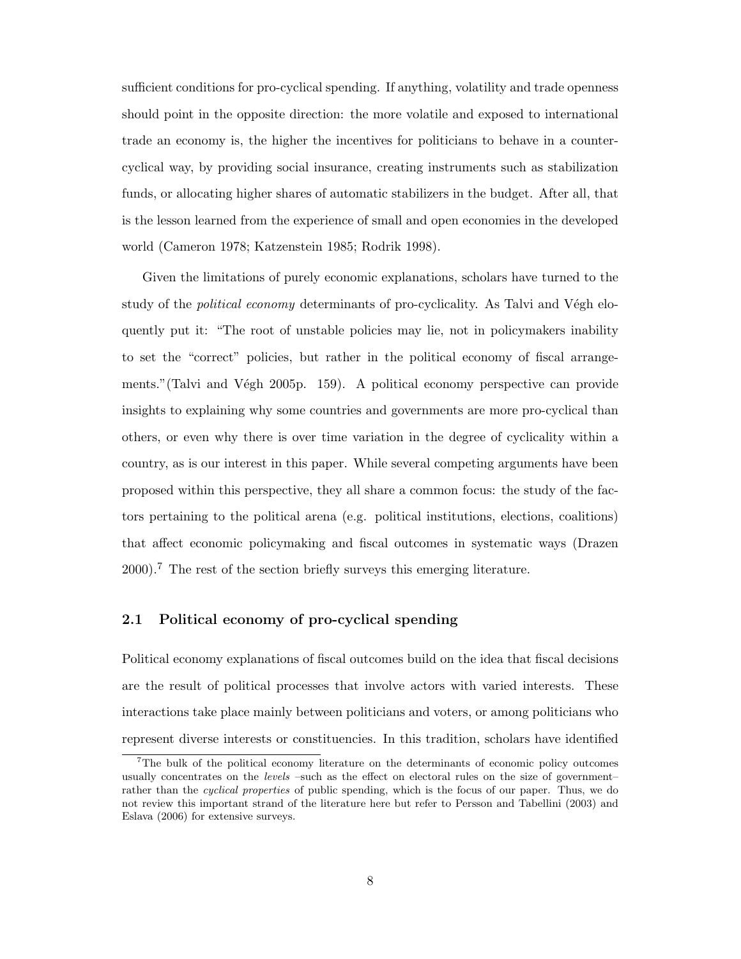sufficient conditions for pro-cyclical spending. If anything, volatility and trade openness should point in the opposite direction: the more volatile and exposed to international trade an economy is, the higher the incentives for politicians to behave in a countercyclical way, by providing social insurance, creating instruments such as stabilization funds, or allocating higher shares of automatic stabilizers in the budget. After all, that is the lesson learned from the experience of small and open economies in the developed world (Cameron 1978; Katzenstein 1985; Rodrik 1998).

Given the limitations of purely economic explanations, scholars have turned to the study of the *political economy* determinants of pro-cyclicality. As Talvi and Végh eloquently put it: "The root of unstable policies may lie, not in policymakers inability to set the "correct" policies, but rather in the political economy of fiscal arrangements."(Talvi and Végh 2005p. 159). A political economy perspective can provide insights to explaining why some countries and governments are more pro-cyclical than others, or even why there is over time variation in the degree of cyclicality within a country, as is our interest in this paper. While several competing arguments have been proposed within this perspective, they all share a common focus: the study of the factors pertaining to the political arena (e.g. political institutions, elections, coalitions) that affect economic policymaking and fiscal outcomes in systematic ways (Drazen 2000).<sup>7</sup> The rest of the section briefly surveys this emerging literature.

## 2.1 Political economy of pro-cyclical spending

Political economy explanations of fiscal outcomes build on the idea that fiscal decisions are the result of political processes that involve actors with varied interests. These interactions take place mainly between politicians and voters, or among politicians who represent diverse interests or constituencies. In this tradition, scholars have identified

<sup>7</sup>The bulk of the political economy literature on the determinants of economic policy outcomes usually concentrates on the *levels* –such as the effect on electoral rules on the size of government– rather than the *cyclical properties* of public spending, which is the focus of our paper. Thus, we do not review this important strand of the literature here but refer to Persson and Tabellini (2003) and Eslava (2006) for extensive surveys.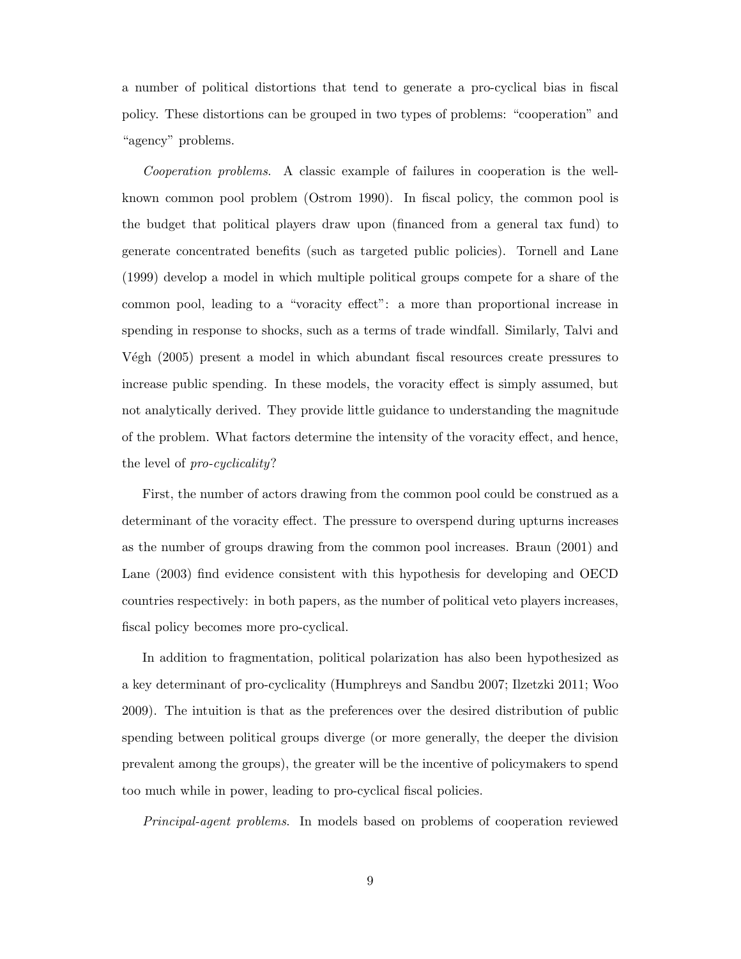a number of political distortions that tend to generate a pro-cyclical bias in fiscal policy. These distortions can be grouped in two types of problems: "cooperation" and "agency" problems.

Cooperation problems. A classic example of failures in cooperation is the wellknown common pool problem (Ostrom 1990). In fiscal policy, the common pool is the budget that political players draw upon (financed from a general tax fund) to generate concentrated benefits (such as targeted public policies). Tornell and Lane (1999) develop a model in which multiple political groups compete for a share of the common pool, leading to a "voracity effect": a more than proportional increase in spending in response to shocks, such as a terms of trade windfall. Similarly, Talvi and Végh (2005) present a model in which abundant fiscal resources create pressures to increase public spending. In these models, the voracity effect is simply assumed, but not analytically derived. They provide little guidance to understanding the magnitude of the problem. What factors determine the intensity of the voracity effect, and hence, the level of pro-cyclicality?

First, the number of actors drawing from the common pool could be construed as a determinant of the voracity effect. The pressure to overspend during upturns increases as the number of groups drawing from the common pool increases. Braun (2001) and Lane (2003) find evidence consistent with this hypothesis for developing and OECD countries respectively: in both papers, as the number of political veto players increases, fiscal policy becomes more pro-cyclical.

In addition to fragmentation, political polarization has also been hypothesized as a key determinant of pro-cyclicality (Humphreys and Sandbu 2007; Ilzetzki 2011; Woo 2009). The intuition is that as the preferences over the desired distribution of public spending between political groups diverge (or more generally, the deeper the division prevalent among the groups), the greater will be the incentive of policymakers to spend too much while in power, leading to pro-cyclical fiscal policies.

Principal-agent problems. In models based on problems of cooperation reviewed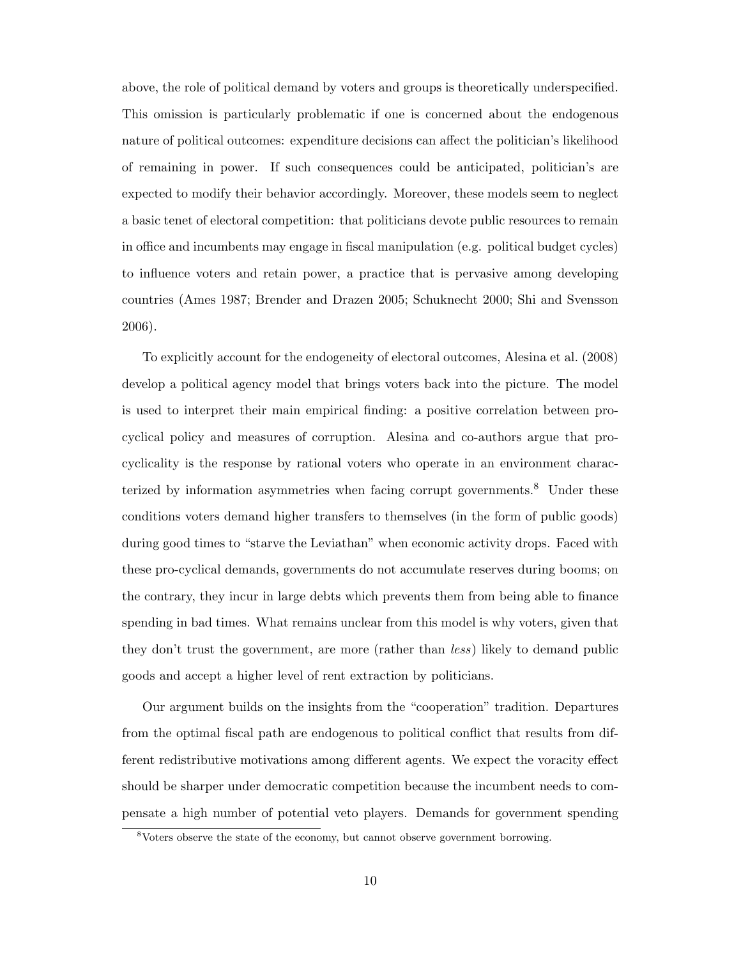above, the role of political demand by voters and groups is theoretically underspecified. This omission is particularly problematic if one is concerned about the endogenous nature of political outcomes: expenditure decisions can affect the politician's likelihood of remaining in power. If such consequences could be anticipated, politician's are expected to modify their behavior accordingly. Moreover, these models seem to neglect a basic tenet of electoral competition: that politicians devote public resources to remain in office and incumbents may engage in fiscal manipulation (e.g. political budget cycles) to influence voters and retain power, a practice that is pervasive among developing countries (Ames 1987; Brender and Drazen 2005; Schuknecht 2000; Shi and Svensson 2006).

To explicitly account for the endogeneity of electoral outcomes, Alesina et al. (2008) develop a political agency model that brings voters back into the picture. The model is used to interpret their main empirical finding: a positive correlation between procyclical policy and measures of corruption. Alesina and co-authors argue that procyclicality is the response by rational voters who operate in an environment characterized by information asymmetries when facing corrupt governments. $8$  Under these conditions voters demand higher transfers to themselves (in the form of public goods) during good times to "starve the Leviathan" when economic activity drops. Faced with these pro-cyclical demands, governments do not accumulate reserves during booms; on the contrary, they incur in large debts which prevents them from being able to finance spending in bad times. What remains unclear from this model is why voters, given that they don't trust the government, are more (rather than less) likely to demand public goods and accept a higher level of rent extraction by politicians.

Our argument builds on the insights from the "cooperation" tradition. Departures from the optimal fiscal path are endogenous to political conflict that results from different redistributive motivations among different agents. We expect the voracity effect should be sharper under democratic competition because the incumbent needs to compensate a high number of potential veto players. Demands for government spending

<sup>8</sup>Voters observe the state of the economy, but cannot observe government borrowing.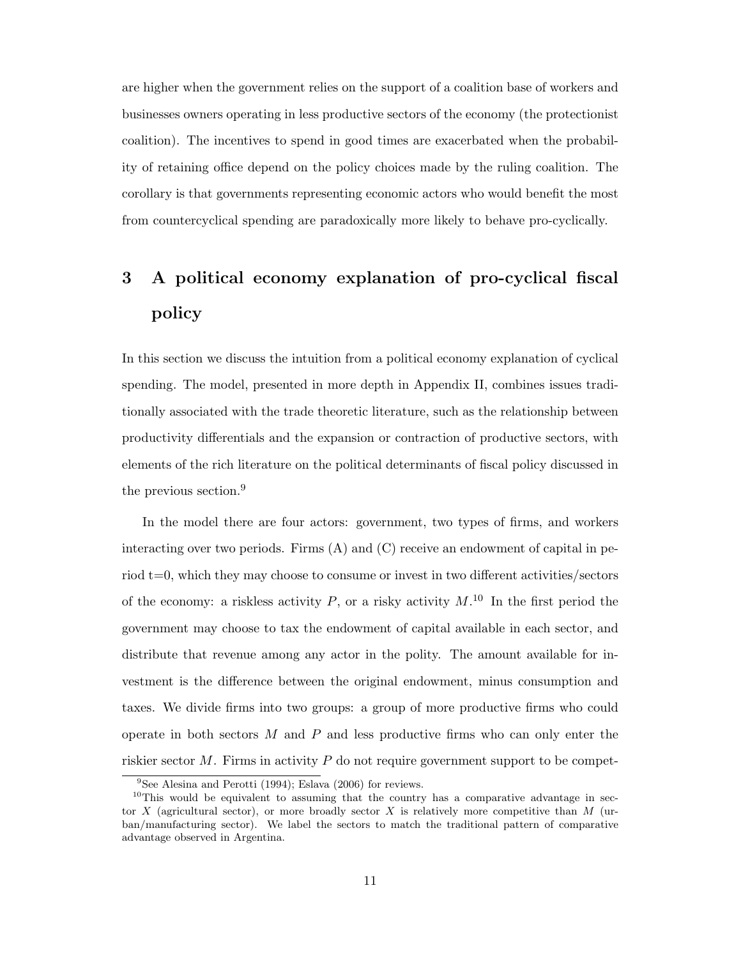are higher when the government relies on the support of a coalition base of workers and businesses owners operating in less productive sectors of the economy (the protectionist coalition). The incentives to spend in good times are exacerbated when the probability of retaining office depend on the policy choices made by the ruling coalition. The corollary is that governments representing economic actors who would benefit the most from countercyclical spending are paradoxically more likely to behave pro-cyclically.

# 3 A political economy explanation of pro-cyclical fiscal policy

In this section we discuss the intuition from a political economy explanation of cyclical spending. The model, presented in more depth in Appendix II, combines issues traditionally associated with the trade theoretic literature, such as the relationship between productivity differentials and the expansion or contraction of productive sectors, with elements of the rich literature on the political determinants of fiscal policy discussed in the previous section.<sup>9</sup>

In the model there are four actors: government, two types of firms, and workers interacting over two periods. Firms  $(A)$  and  $(C)$  receive an endowment of capital in period t=0, which they may choose to consume or invest in two different activities/sectors of the economy: a riskless activity  $P$ , or a risky activity  $M$ .<sup>10</sup> In the first period the government may choose to tax the endowment of capital available in each sector, and distribute that revenue among any actor in the polity. The amount available for investment is the difference between the original endowment, minus consumption and taxes. We divide firms into two groups: a group of more productive firms who could operate in both sectors  $M$  and  $P$  and less productive firms who can only enter the riskier sector  $M$ . Firms in activity  $P$  do not require government support to be compet-

<sup>9</sup>See Alesina and Perotti (1994); Eslava (2006) for reviews.

 $10$ This would be equivalent to assuming that the country has a comparative advantage in sector  $X$  (agricultural sector), or more broadly sector  $X$  is relatively more competitive than  $M$  (urban/manufacturing sector). We label the sectors to match the traditional pattern of comparative advantage observed in Argentina.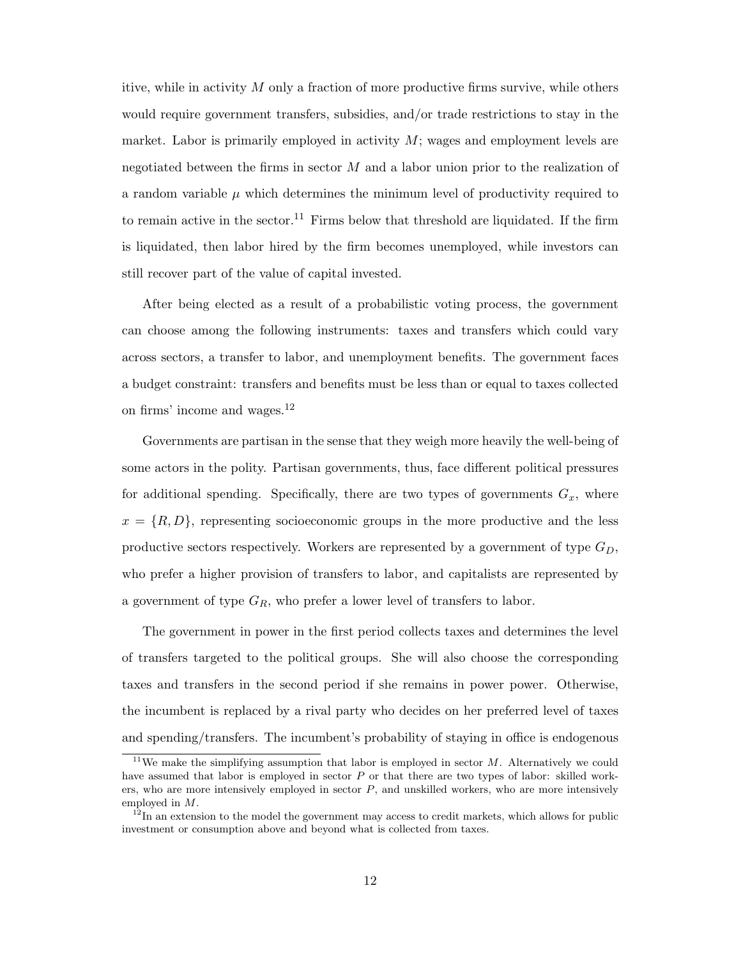itive, while in activity  $M$  only a fraction of more productive firms survive, while others would require government transfers, subsidies, and/or trade restrictions to stay in the market. Labor is primarily employed in activity  $M$ ; wages and employment levels are negotiated between the firms in sector  $M$  and a labor union prior to the realization of a random variable  $\mu$  which determines the minimum level of productivity required to to remain active in the sector.<sup>11</sup> Firms below that threshold are liquidated. If the firm is liquidated, then labor hired by the firm becomes unemployed, while investors can still recover part of the value of capital invested.

After being elected as a result of a probabilistic voting process, the government can choose among the following instruments: taxes and transfers which could vary across sectors, a transfer to labor, and unemployment benefits. The government faces a budget constraint: transfers and benefits must be less than or equal to taxes collected on firms' income and wages.<sup>12</sup>

Governments are partisan in the sense that they weigh more heavily the well-being of some actors in the polity. Partisan governments, thus, face different political pressures for additional spending. Specifically, there are two types of governments  $G_x$ , where  $x = \{R, D\}$ , representing socioeconomic groups in the more productive and the less productive sectors respectively. Workers are represented by a government of type  $G_D$ , who prefer a higher provision of transfers to labor, and capitalists are represented by a government of type  $G_R$ , who prefer a lower level of transfers to labor.

The government in power in the first period collects taxes and determines the level of transfers targeted to the political groups. She will also choose the corresponding taxes and transfers in the second period if she remains in power power. Otherwise, the incumbent is replaced by a rival party who decides on her preferred level of taxes and spending/transfers. The incumbent's probability of staying in office is endogenous

<sup>&</sup>lt;sup>11</sup>We make the simplifying assumption that labor is employed in sector  $M$ . Alternatively we could have assumed that labor is employed in sector P or that there are two types of labor: skilled workers, who are more intensively employed in sector  $P$ , and unskilled workers, who are more intensively employed in M.

 $12 \text{ In an extension to the model the government may access to credit markets, which allows for public$ investment or consumption above and beyond what is collected from taxes.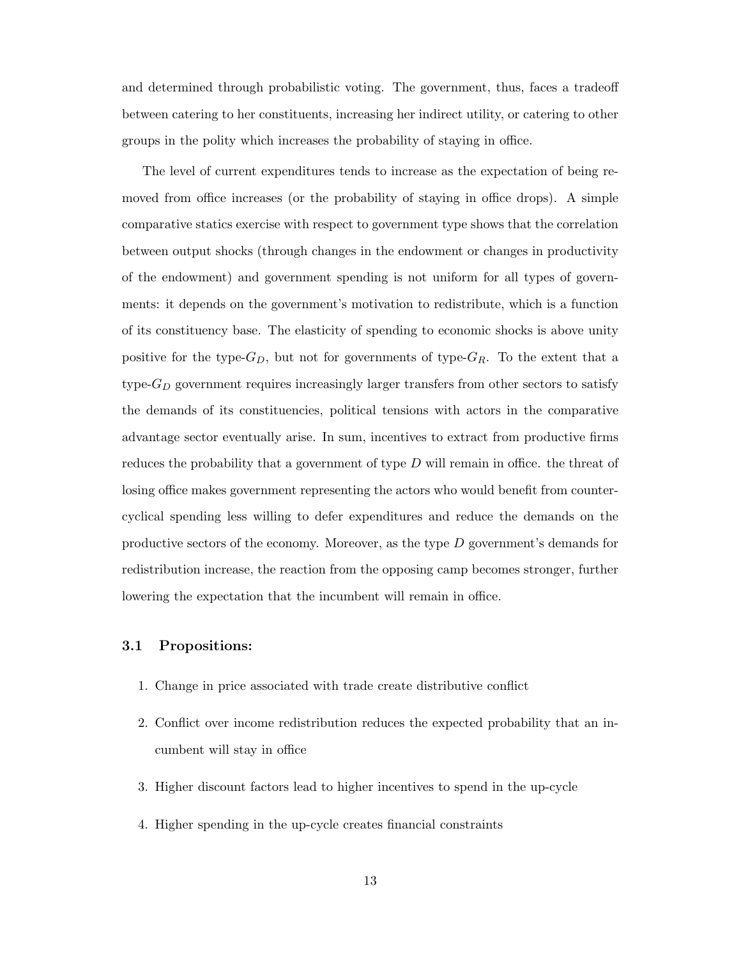and determined through probabilistic voting. The government, thus, faces a tradeoff between catering to her constituents, increasing her indirect utility, or catering to other groups in the polity which increases the probability of staying in office.

The level of current expenditures tends to increase as the expectation of being removed from office increases (or the probability of staying in office drops). A simple comparative statics exercise with respect to government type shows that the correlation between output shocks (through changes in the endowment or changes in productivity of the endowment) and government spending is not uniform for all types of governments: it depends on the government's motivation to redistribute, which is a function of its constituency base. The elasticity of spending to economic shocks is above unity positive for the type- $G_D$ , but not for governments of type- $G_R$ . To the extent that a type- $G_D$  government requires increasingly larger transfers from other sectors to satisfy the demands of its constituencies, political tensions with actors in the comparative advantage sector eventually arise. In sum, incentives to extract from productive firms reduces the probability that a government of type D will remain in office. the threat of losing office makes government representing the actors who would benefit from countercyclical spending less willing to defer expenditures and reduce the demands on the productive sectors of the economy. Moreover, as the type D government's demands for redistribution increase, the reaction from the opposing camp becomes stronger, further lowering the expectation that the incumbent will remain in office.

# 3.1 Propositions:

- 1. Change in price associated with trade create distributive conflict
- 2. Conflict over income redistribution reduces the expected probability that an incumbent will stay in office
- 3. Higher discount factors lead to higher incentives to spend in the up-cycle
- 4. Higher spending in the up-cycle creates financial constraints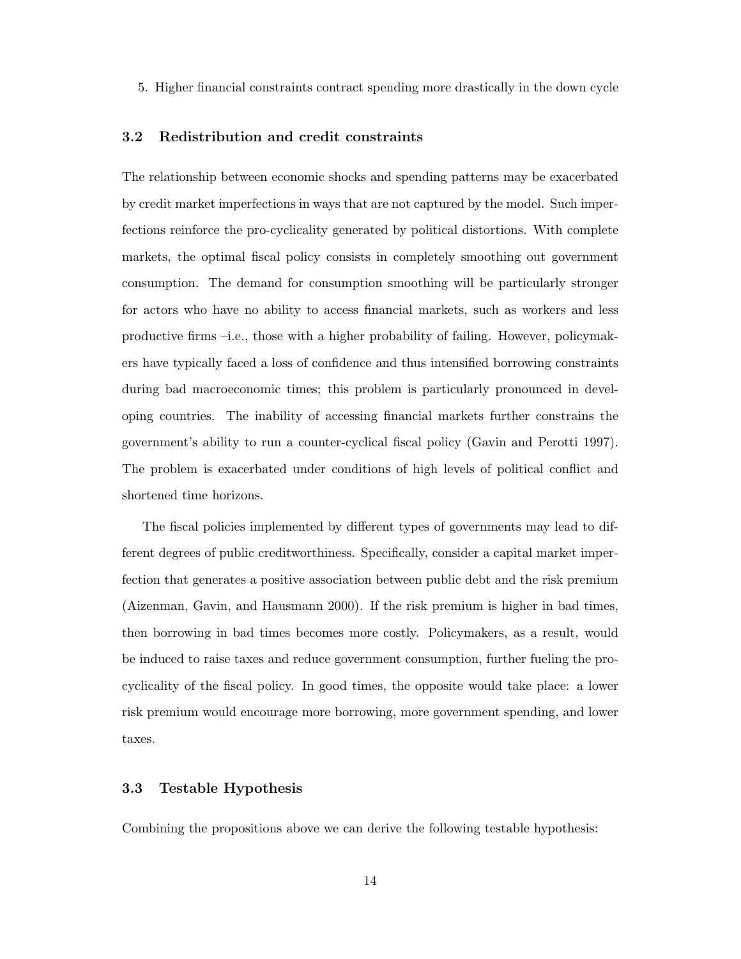5. Higher financial constraints contract spending more drastically in the down cycle

### 3.2 Redistribution and credit constraints

The relationship between economic shocks and spending patterns may be exacerbated by credit market imperfections in ways that are not captured by the model. Such imperfections reinforce the pro-cyclicality generated by political distortions. With complete markets, the optimal fiscal policy consists in completely smoothing out government consumption. The demand for consumption smoothing will be particularly stronger for actors who have no ability to access financial markets, such as workers and less productive firms –i.e., those with a higher probability of failing. However, policymakers have typically faced a loss of confidence and thus intensified borrowing constraints during bad macroeconomic times; this problem is particularly pronounced in developing countries. The inability of accessing financial markets further constrains the government's ability to run a counter-cyclical fiscal policy (Gavin and Perotti 1997). The problem is exacerbated under conditions of high levels of political conflict and shortened time horizons.

The fiscal policies implemented by different types of governments may lead to different degrees of public creditworthiness. Specifically, consider a capital market imperfection that generates a positive association between public debt and the risk premium (Aizenman, Gavin, and Hausmann 2000). If the risk premium is higher in bad times, then borrowing in bad times becomes more costly. Policymakers, as a result, would be induced to raise taxes and reduce government consumption, further fueling the procyclicality of the fiscal policy. In good times, the opposite would take place: a lower risk premium would encourage more borrowing, more government spending, and lower taxes.

## 3.3 Testable Hypothesis

Combining the propositions above we can derive the following testable hypothesis: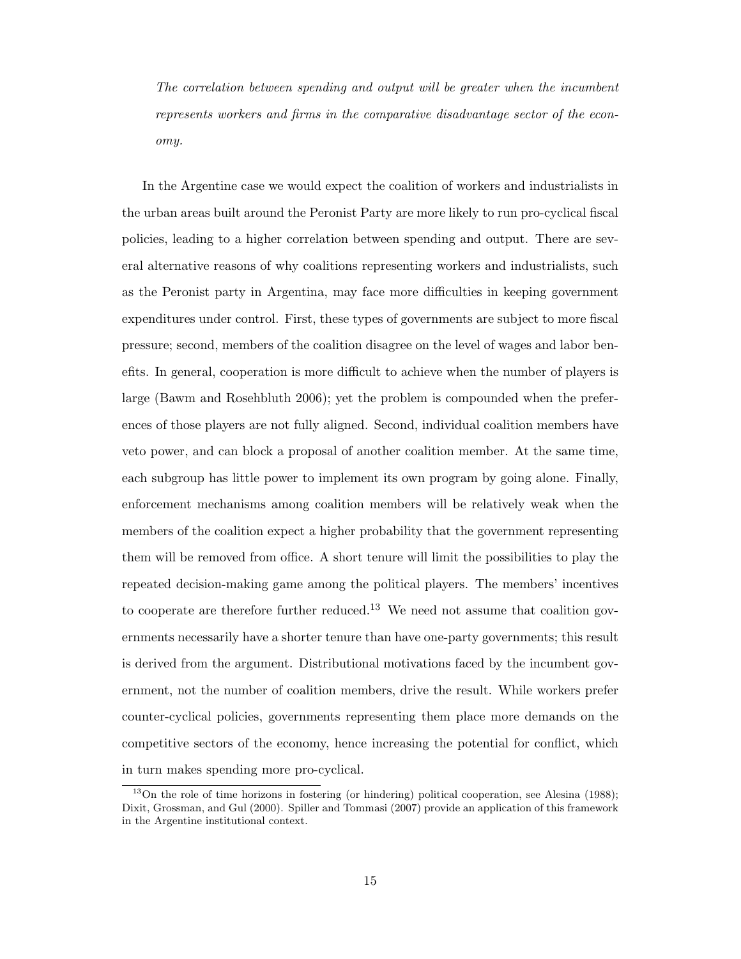The correlation between spending and output will be greater when the incumbent represents workers and firms in the comparative disadvantage sector of the economy.

In the Argentine case we would expect the coalition of workers and industrialists in the urban areas built around the Peronist Party are more likely to run pro-cyclical fiscal policies, leading to a higher correlation between spending and output. There are several alternative reasons of why coalitions representing workers and industrialists, such as the Peronist party in Argentina, may face more difficulties in keeping government expenditures under control. First, these types of governments are subject to more fiscal pressure; second, members of the coalition disagree on the level of wages and labor benefits. In general, cooperation is more difficult to achieve when the number of players is large (Bawm and Rosehbluth 2006); yet the problem is compounded when the preferences of those players are not fully aligned. Second, individual coalition members have veto power, and can block a proposal of another coalition member. At the same time, each subgroup has little power to implement its own program by going alone. Finally, enforcement mechanisms among coalition members will be relatively weak when the members of the coalition expect a higher probability that the government representing them will be removed from office. A short tenure will limit the possibilities to play the repeated decision-making game among the political players. The members' incentives to cooperate are therefore further reduced.<sup>13</sup> We need not assume that coalition governments necessarily have a shorter tenure than have one-party governments; this result is derived from the argument. Distributional motivations faced by the incumbent government, not the number of coalition members, drive the result. While workers prefer counter-cyclical policies, governments representing them place more demands on the competitive sectors of the economy, hence increasing the potential for conflict, which in turn makes spending more pro-cyclical.

<sup>&</sup>lt;sup>13</sup>On the role of time horizons in fostering (or hindering) political cooperation, see Alesina (1988); Dixit, Grossman, and Gul (2000). Spiller and Tommasi (2007) provide an application of this framework in the Argentine institutional context.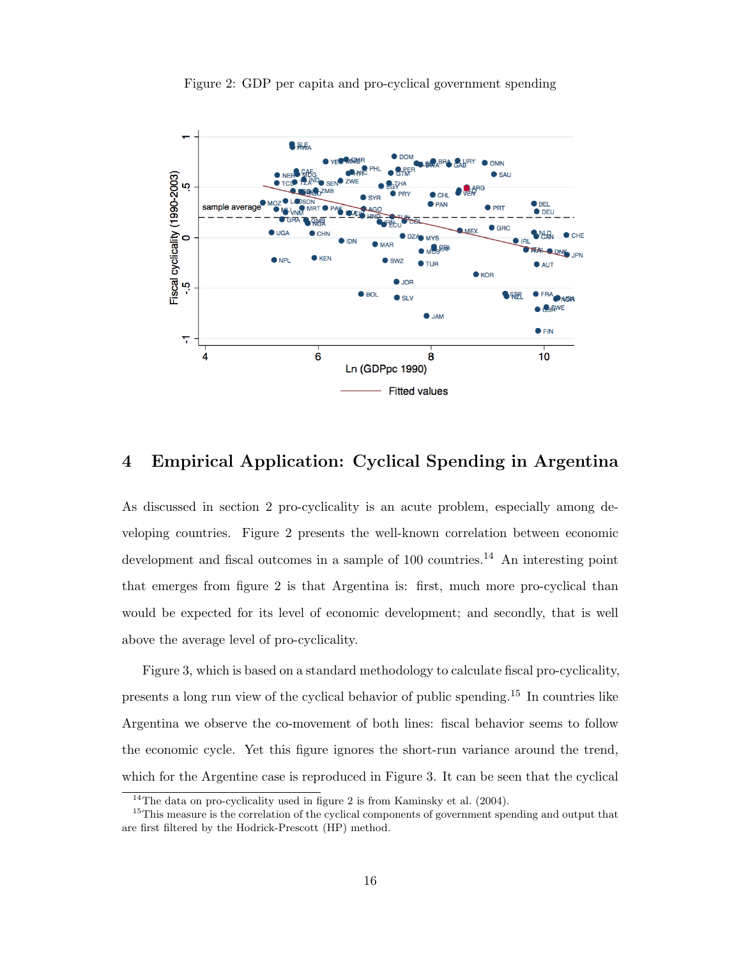

Figure 2: GDP per capita and pro-cyclical government spending

# 4 Empirical Application: Cyclical Spending in Argentina

As discussed in section 2 pro-cyclicality is an acute problem, especially among developing countries. Figure 2 presents the well-known correlation between economic development and fiscal outcomes in a sample of  $100$  countries.<sup>14</sup> An interesting point that emerges from figure 2 is that Argentina is: first, much more pro-cyclical than would be expected for its level of economic development; and secondly, that is well above the average level of pro-cyclicality.

Figure 3, which is based on a standard methodology to calculate fiscal pro-cyclicality, presents a long run view of the cyclical behavior of public spending.<sup>15</sup> In countries like Argentina we observe the co-movement of both lines: fiscal behavior seems to follow the economic cycle. Yet this figure ignores the short-run variance around the trend, which for the Argentine case is reproduced in Figure 3. It can be seen that the cyclical

 $14$ The data on pro-cyclicality used in figure 2 is from Kaminsky et al. (2004).

<sup>&</sup>lt;sup>15</sup>This measure is the correlation of the cyclical components of government spending and output that are first filtered by the Hodrick-Prescott (HP) method.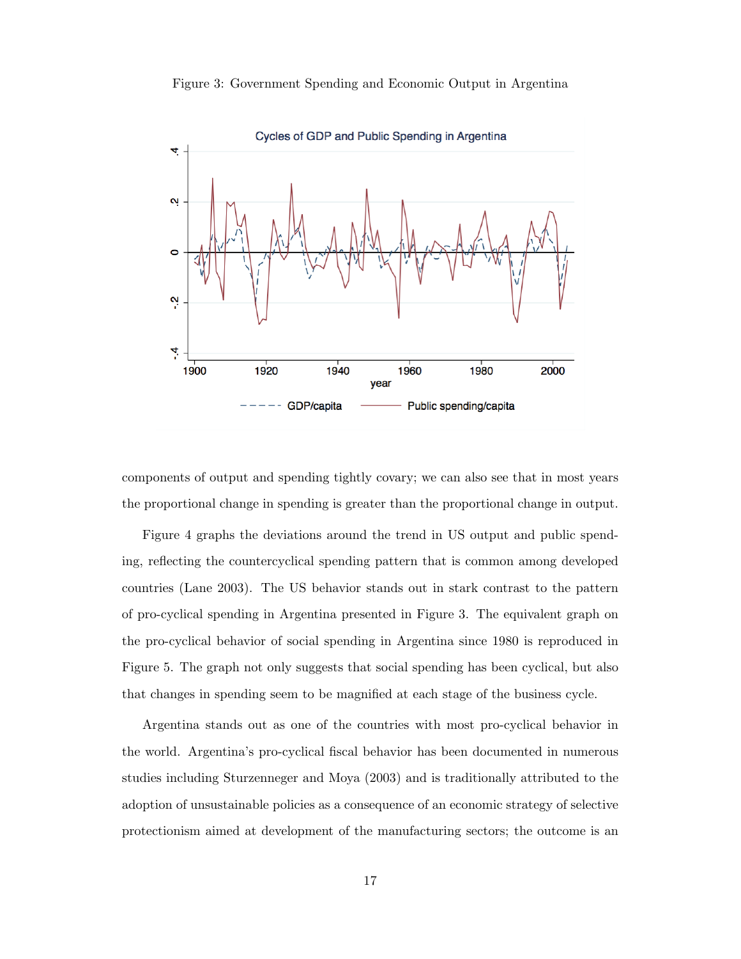

Figure 3: Government Spending and Economic Output in Argentina

components of output and spending tightly covary; we can also see that in most years the proportional change in spending is greater than the proportional change in output.

Figure 4 graphs the deviations around the trend in US output and public spending, reflecting the countercyclical spending pattern that is common among developed countries (Lane 2003). The US behavior stands out in stark contrast to the pattern of pro-cyclical spending in Argentina presented in Figure 3. The equivalent graph on the pro-cyclical behavior of social spending in Argentina since 1980 is reproduced in Figure 5. The graph not only suggests that social spending has been cyclical, but also that changes in spending seem to be magnified at each stage of the business cycle.

Argentina stands out as one of the countries with most pro-cyclical behavior in the world. Argentina's pro-cyclical fiscal behavior has been documented in numerous studies including Sturzenneger and Moya (2003) and is traditionally attributed to the adoption of unsustainable policies as a consequence of an economic strategy of selective protectionism aimed at development of the manufacturing sectors; the outcome is an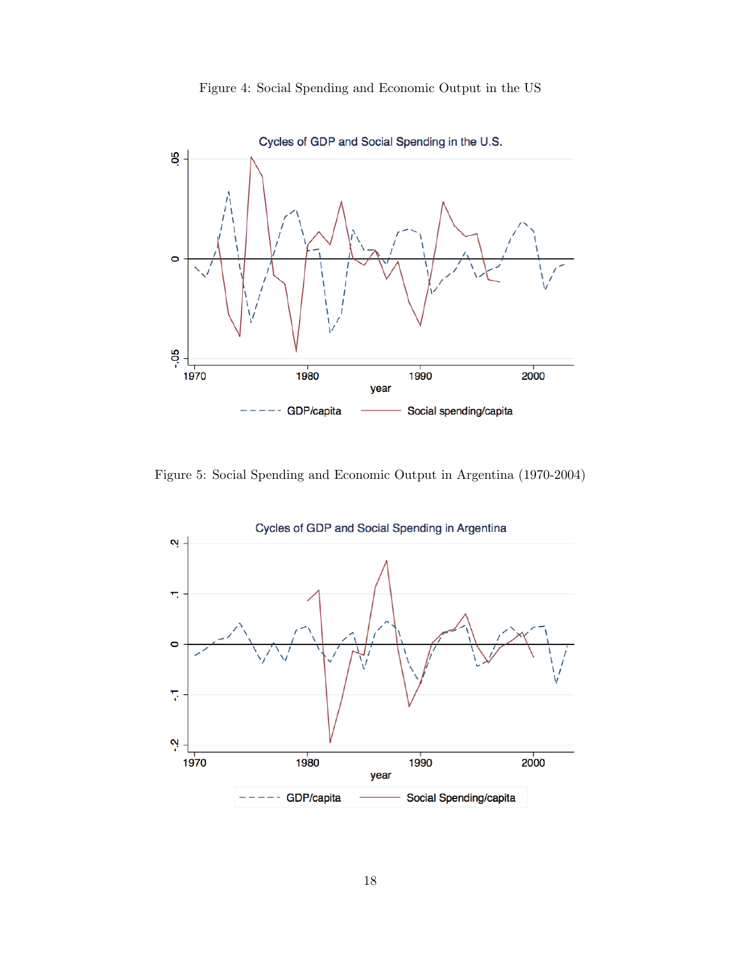



Figure 5: Social Spending and Economic Output in Argentina (1970-2004)

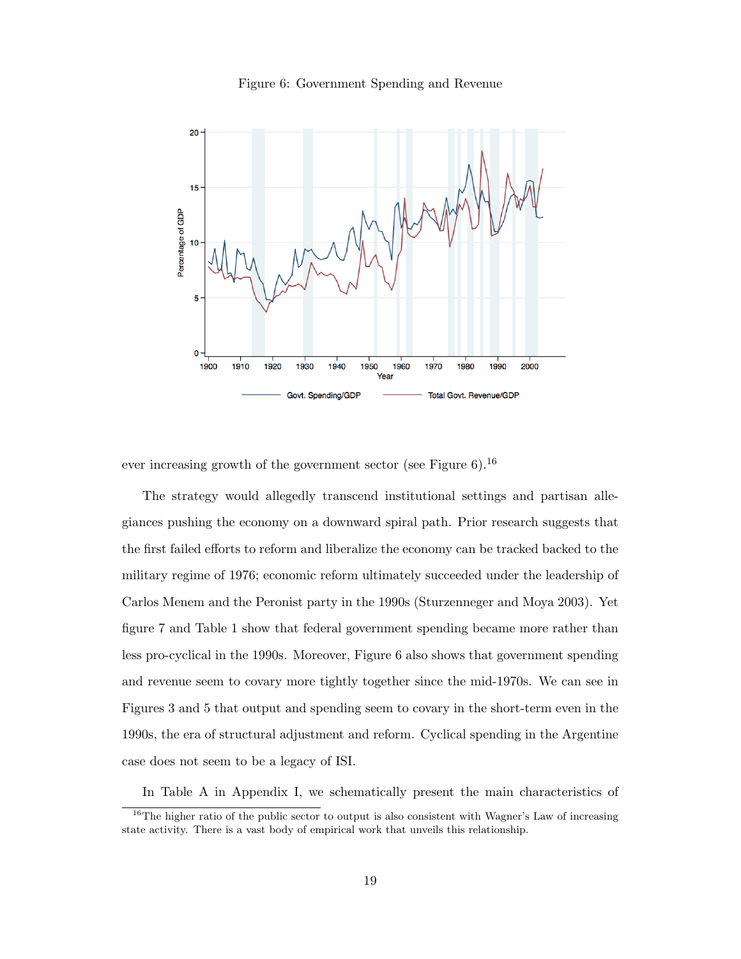

Figure 6: Government Spending and Revenue

ever increasing growth of the government sector (see Figure  $6$ ).<sup>16</sup>

The strategy would allegedly transcend institutional settings and partisan allegiances pushing the economy on a downward spiral path. Prior research suggests that the first failed efforts to reform and liberalize the economy can be tracked backed to the military regime of 1976; economic reform ultimately succeeded under the leadership of Carlos Menem and the Peronist party in the 1990s (Sturzenneger and Moya 2003). Yet figure 7 and Table 1 show that federal government spending became more rather than less pro-cyclical in the 1990s. Moreover, Figure 6 also shows that government spending and revenue seem to covary more tightly together since the mid-1970s. We can see in Figures 3 and 5 that output and spending seem to covary in the short-term even in the 1990s, the era of structural adjustment and reform. Cyclical spending in the Argentine case does not seem to be a legacy of ISI.

In Table A in Appendix I, we schematically present the main characteristics of

 $16$ The higher ratio of the public sector to output is also consistent with Wagner's Law of increasing state activity. There is a vast body of empirical work that unveils this relationship.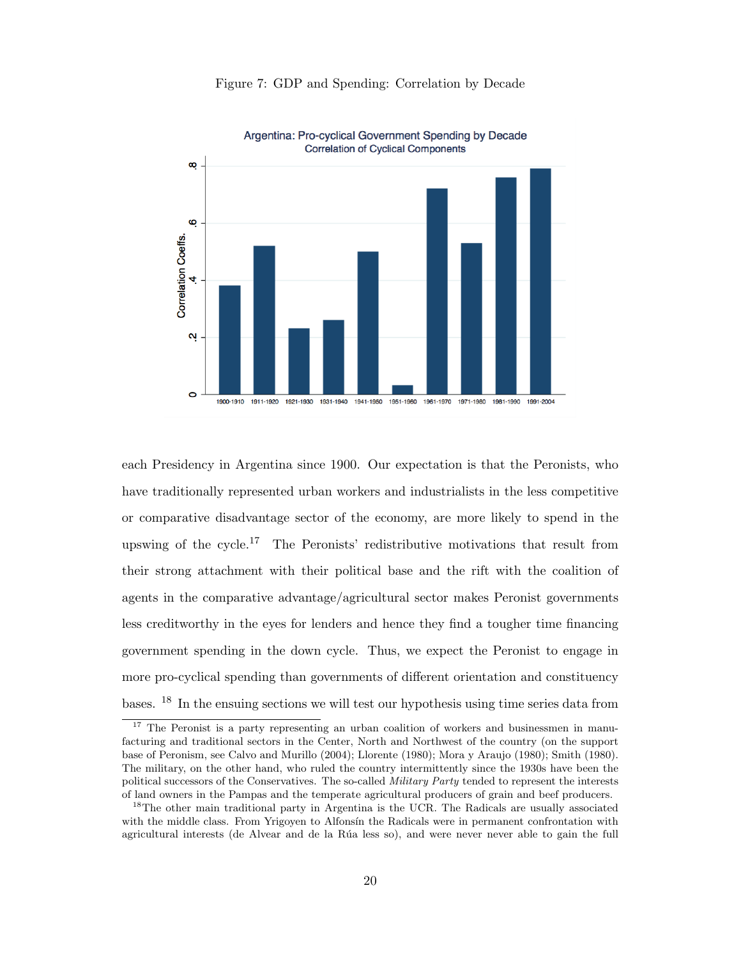



each Presidency in Argentina since 1900. Our expectation is that the Peronists, who have traditionally represented urban workers and industrialists in the less competitive or comparative disadvantage sector of the economy, are more likely to spend in the upswing of the cycle.<sup>17</sup> The Peronists' redistributive motivations that result from their strong attachment with their political base and the rift with the coalition of agents in the comparative advantage/agricultural sector makes Peronist governments less creditworthy in the eyes for lenders and hence they find a tougher time financing government spending in the down cycle. Thus, we expect the Peronist to engage in more pro-cyclical spending than governments of different orientation and constituency bases. <sup>18</sup> In the ensuing sections we will test our hypothesis using time series data from

<sup>&</sup>lt;sup>17</sup> The Peronist is a party representing an urban coalition of workers and businessmen in manufacturing and traditional sectors in the Center, North and Northwest of the country (on the support base of Peronism, see Calvo and Murillo (2004); Llorente (1980); Mora y Araujo (1980); Smith (1980). The military, on the other hand, who ruled the country intermittently since the 1930s have been the political successors of the Conservatives. The so-called Military Party tended to represent the interests of land owners in the Pampas and the temperate agricultural producers of grain and beef producers.

<sup>&</sup>lt;sup>18</sup>The other main traditional party in Argentina is the UCR. The Radicals are usually associated with the middle class. From Yrigoyen to Alfonsin the Radicals were in permanent confrontation with agricultural interests (de Alvear and de la Rúa less so), and were never never able to gain the full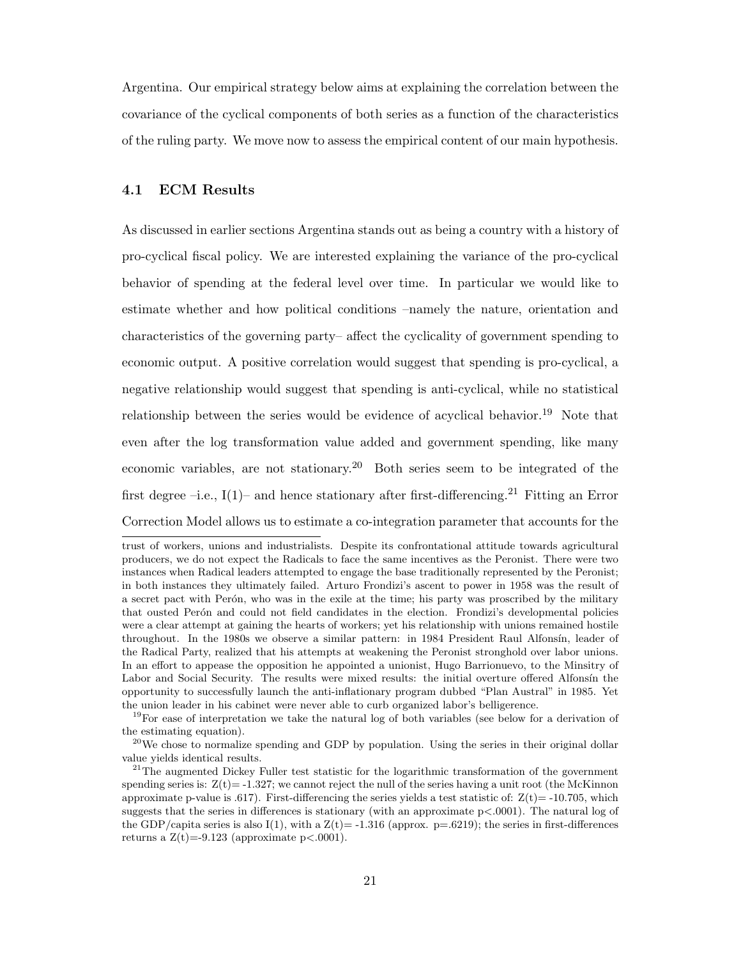Argentina. Our empirical strategy below aims at explaining the correlation between the covariance of the cyclical components of both series as a function of the characteristics of the ruling party. We move now to assess the empirical content of our main hypothesis.

# 4.1 ECM Results

As discussed in earlier sections Argentina stands out as being a country with a history of pro-cyclical fiscal policy. We are interested explaining the variance of the pro-cyclical behavior of spending at the federal level over time. In particular we would like to estimate whether and how political conditions –namely the nature, orientation and characteristics of the governing party– affect the cyclicality of government spending to economic output. A positive correlation would suggest that spending is pro-cyclical, a negative relationship would suggest that spending is anti-cyclical, while no statistical relationship between the series would be evidence of acyclical behavior.<sup>19</sup> Note that even after the log transformation value added and government spending, like many economic variables, are not stationary.<sup>20</sup> Both series seem to be integrated of the first degree –i.e.,  $I(1)$ – and hence stationary after first-differencing.<sup>21</sup> Fitting an Error Correction Model allows us to estimate a co-integration parameter that accounts for the

trust of workers, unions and industrialists. Despite its confrontational attitude towards agricultural producers, we do not expect the Radicals to face the same incentives as the Peronist. There were two instances when Radical leaders attempted to engage the base traditionally represented by the Peronist; in both instances they ultimately failed. Arturo Frondizi's ascent to power in 1958 was the result of a secret pact with Perón, who was in the exile at the time; his party was proscribed by the military that ousted Perón and could not field candidates in the election. Frondizi's developmental policies were a clear attempt at gaining the hearts of workers; yet his relationship with unions remained hostile throughout. In the 1980s we observe a similar pattern: in 1984 President Raul Alfonsín, leader of the Radical Party, realized that his attempts at weakening the Peronist stronghold over labor unions. In an effort to appease the opposition he appointed a unionist, Hugo Barrionuevo, to the Minsitry of Labor and Social Security. The results were mixed results: the initial overture offered Alfonsín the opportunity to successfully launch the anti-inflationary program dubbed "Plan Austral" in 1985. Yet the union leader in his cabinet were never able to curb organized labor's belligerence.

<sup>&</sup>lt;sup>19</sup>For ease of interpretation we take the natural log of both variables (see below for a derivation of the estimating equation).

<sup>&</sup>lt;sup>20</sup>We chose to normalize spending and GDP by population. Using the series in their original dollar value yields identical results.

 $2<sup>21</sup>$ The augmented Dickey Fuller test statistic for the logarithmic transformation of the government spending series is:  $Z(t) = -1.327$ ; we cannot reject the null of the series having a unit root (the McKinnon approximate p-value is .617). First-differencing the series yields a test statistic of:  $Z(t) = -10.705$ , which suggests that the series in differences is stationary (with an approximate p<.0001). The natural log of the GDP/capita series is also I(1), with a  $Z(t) = -1.316$  (approx. p=.6219); the series in first-differences returns a  $Z(t) = -9.123$  (approximate  $p < .0001$ ).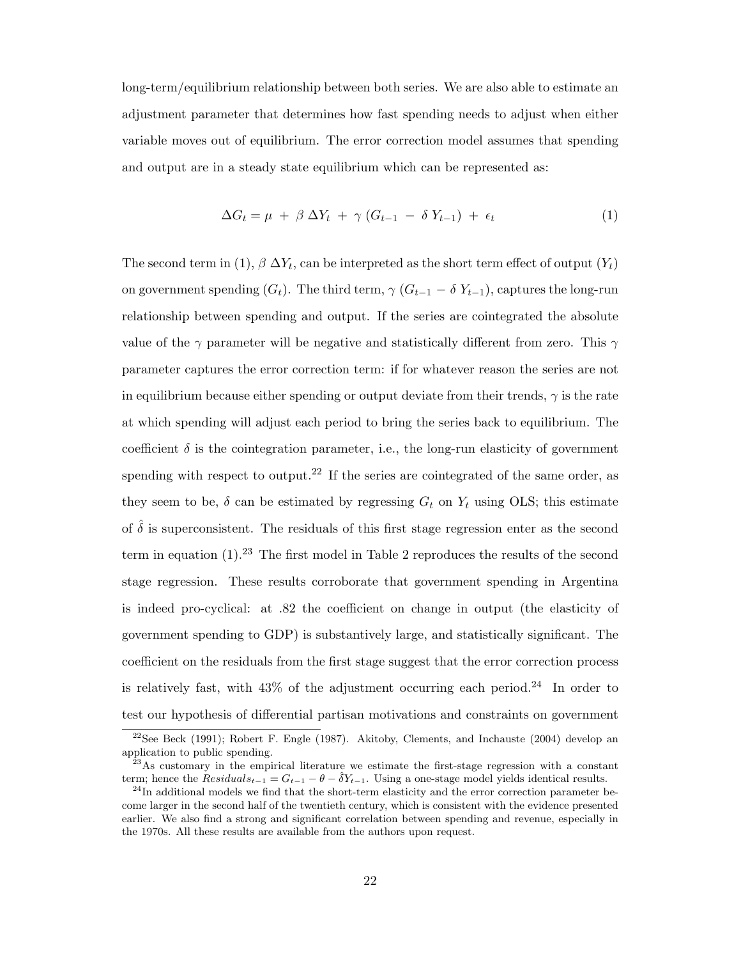long-term/equilibrium relationship between both series. We are also able to estimate an adjustment parameter that determines how fast spending needs to adjust when either variable moves out of equilibrium. The error correction model assumes that spending and output are in a steady state equilibrium which can be represented as:

$$
\Delta G_t = \mu + \beta \Delta Y_t + \gamma (G_{t-1} - \delta Y_{t-1}) + \epsilon_t \tag{1}
$$

The second term in (1),  $\beta \Delta Y_t$ , can be interpreted as the short term effect of output  $(Y_t)$ on government spending  $(G_t)$ . The third term,  $\gamma$   $(G_{t-1} - \delta Y_{t-1})$ , captures the long-run relationship between spending and output. If the series are cointegrated the absolute value of the  $\gamma$  parameter will be negative and statistically different from zero. This  $\gamma$ parameter captures the error correction term: if for whatever reason the series are not in equilibrium because either spending or output deviate from their trends,  $\gamma$  is the rate at which spending will adjust each period to bring the series back to equilibrium. The coefficient  $\delta$  is the cointegration parameter, i.e., the long-run elasticity of government spending with respect to output.<sup>22</sup> If the series are cointegrated of the same order, as they seem to be,  $\delta$  can be estimated by regressing  $G_t$  on  $Y_t$  using OLS; this estimate of  $\hat{\delta}$  is superconsistent. The residuals of this first stage regression enter as the second term in equation  $(1)$ .<sup>23</sup> The first model in Table 2 reproduces the results of the second stage regression. These results corroborate that government spending in Argentina is indeed pro-cyclical: at .82 the coefficient on change in output (the elasticity of government spending to GDP) is substantively large, and statistically significant. The coefficient on the residuals from the first stage suggest that the error correction process is relatively fast, with  $43\%$  of the adjustment occurring each period.<sup>24</sup> In order to test our hypothesis of differential partisan motivations and constraints on government

 $22$ See Beck (1991); Robert F. Engle (1987). Akitoby, Clements, and Inchauste (2004) develop an application to public spending.

 $^{23}$ As customary in the empirical literature we estimate the first-stage regression with a constant term; hence the  $Residuals_{t-1} = G_{t-1} - \theta - \delta Y_{t-1}$ . Using a one-stage model yields identical results.

 $^{24}$ In additional models we find that the short-term elasticity and the error correction parameter become larger in the second half of the twentieth century, which is consistent with the evidence presented earlier. We also find a strong and significant correlation between spending and revenue, especially in the 1970s. All these results are available from the authors upon request.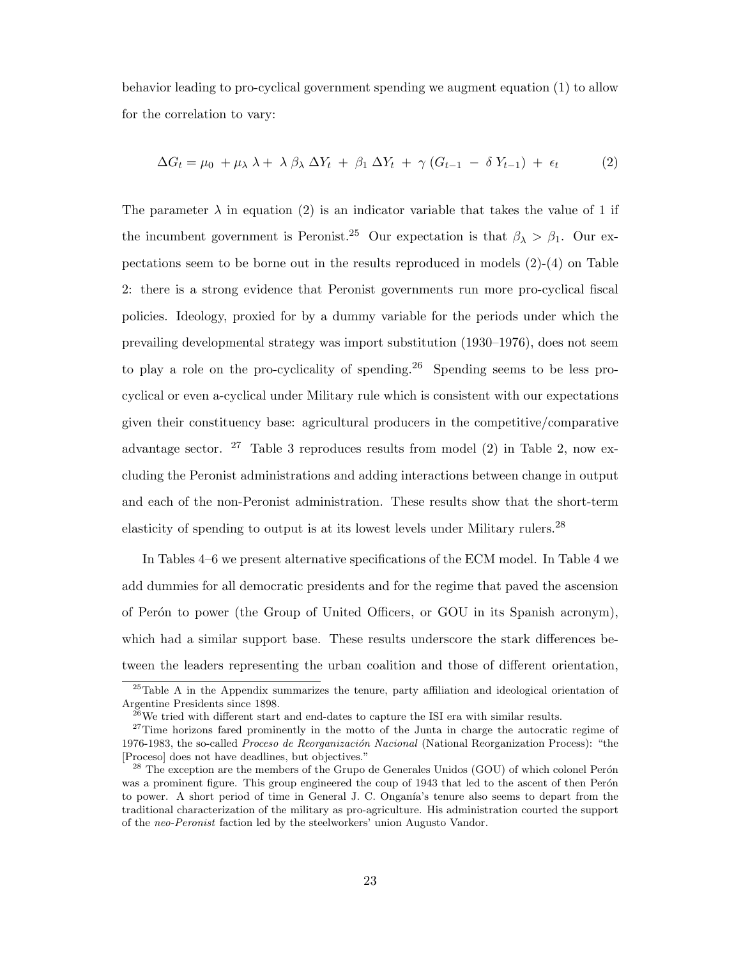behavior leading to pro-cyclical government spending we augment equation (1) to allow for the correlation to vary:

$$
\Delta G_t = \mu_0 + \mu_\lambda \lambda + \lambda \beta_\lambda \Delta Y_t + \beta_1 \Delta Y_t + \gamma (G_{t-1} - \delta Y_{t-1}) + \epsilon_t
$$
 (2)

The parameter  $\lambda$  in equation (2) is an indicator variable that takes the value of 1 if the incumbent government is Peronist.<sup>25</sup> Our expectation is that  $\beta_{\lambda} > \beta_1$ . Our expectations seem to be borne out in the results reproduced in models  $(2)-(4)$  on Table 2: there is a strong evidence that Peronist governments run more pro-cyclical fiscal policies. Ideology, proxied for by a dummy variable for the periods under which the prevailing developmental strategy was import substitution (1930–1976), does not seem to play a role on the pro-cyclicality of spending.<sup>26</sup> Spending seems to be less procyclical or even a-cyclical under Military rule which is consistent with our expectations given their constituency base: agricultural producers in the competitive/comparative advantage sector.  $27$  Table 3 reproduces results from model (2) in Table 2, now excluding the Peronist administrations and adding interactions between change in output and each of the non-Peronist administration. These results show that the short-term elasticity of spending to output is at its lowest levels under Military rulers.<sup>28</sup>

In Tables 4–6 we present alternative specifications of the ECM model. In Table 4 we add dummies for all democratic presidents and for the regime that paved the ascension of Perón to power (the Group of United Officers, or GOU in its Spanish acronym), which had a similar support base. These results underscore the stark differences between the leaders representing the urban coalition and those of different orientation,

 $25$ Table A in the Appendix summarizes the tenure, party affiliation and ideological orientation of Argentine Presidents since 1898.

 $^{26}$ We tried with different start and end-dates to capture the ISI era with similar results.

 $27$ Time horizons fared prominently in the motto of the Junta in charge the autocratic regime of 1976-1983, the so-called *Proceso de Reorganización Nacional* (National Reorganization Process): "the [Proceso] does not have deadlines, but objectives."

 $2<sup>28</sup>$  The exception are the members of the Grupo de Generales Unidos (GOU) of which colonel Perón was a prominent figure. This group engineered the coup of 1943 that led to the ascent of then Perón to power. A short period of time in General J. C. Onganía's tenure also seems to depart from the traditional characterization of the military as pro-agriculture. His administration courted the support of the neo-Peronist faction led by the steelworkers' union Augusto Vandor.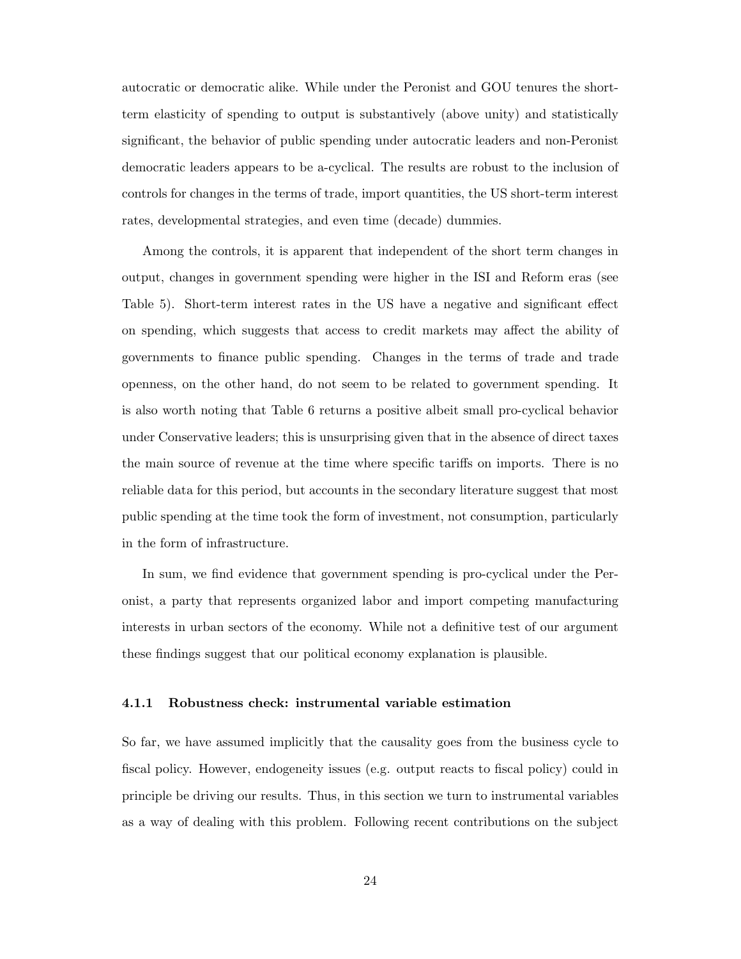autocratic or democratic alike. While under the Peronist and GOU tenures the shortterm elasticity of spending to output is substantively (above unity) and statistically significant, the behavior of public spending under autocratic leaders and non-Peronist democratic leaders appears to be a-cyclical. The results are robust to the inclusion of controls for changes in the terms of trade, import quantities, the US short-term interest rates, developmental strategies, and even time (decade) dummies.

Among the controls, it is apparent that independent of the short term changes in output, changes in government spending were higher in the ISI and Reform eras (see Table 5). Short-term interest rates in the US have a negative and significant effect on spending, which suggests that access to credit markets may affect the ability of governments to finance public spending. Changes in the terms of trade and trade openness, on the other hand, do not seem to be related to government spending. It is also worth noting that Table 6 returns a positive albeit small pro-cyclical behavior under Conservative leaders; this is unsurprising given that in the absence of direct taxes the main source of revenue at the time where specific tariffs on imports. There is no reliable data for this period, but accounts in the secondary literature suggest that most public spending at the time took the form of investment, not consumption, particularly in the form of infrastructure.

In sum, we find evidence that government spending is pro-cyclical under the Peronist, a party that represents organized labor and import competing manufacturing interests in urban sectors of the economy. While not a definitive test of our argument these findings suggest that our political economy explanation is plausible.

#### 4.1.1 Robustness check: instrumental variable estimation

So far, we have assumed implicitly that the causality goes from the business cycle to fiscal policy. However, endogeneity issues (e.g. output reacts to fiscal policy) could in principle be driving our results. Thus, in this section we turn to instrumental variables as a way of dealing with this problem. Following recent contributions on the subject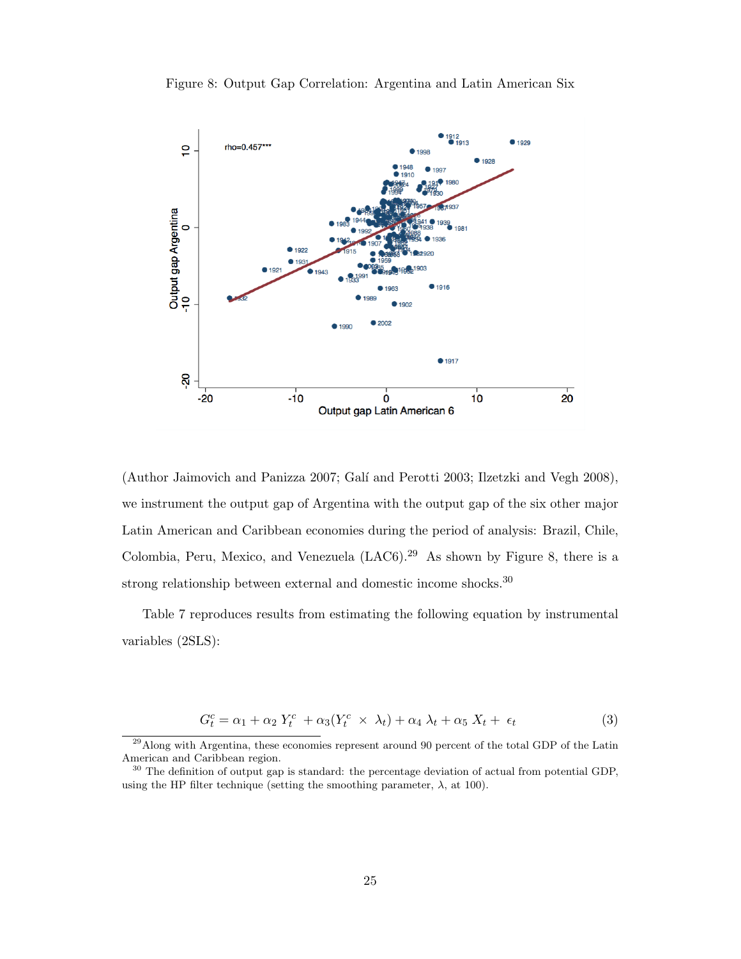

Figure 8: Output Gap Correlation: Argentina and Latin American Six

(Author Jaimovich and Panizza 2007; Galí and Perotti 2003; Ilzetzki and Vegh 2008), we instrument the output gap of Argentina with the output gap of the six other major Latin American and Caribbean economies during the period of analysis: Brazil, Chile, Colombia, Peru, Mexico, and Venezuela  $(LAC6).^{29}$  As shown by Figure 8, there is a strong relationship between external and domestic income shocks.<sup>30</sup>

Table 7 reproduces results from estimating the following equation by instrumental variables (2SLS):

$$
G_t^c = \alpha_1 + \alpha_2 Y_t^c + \alpha_3 (Y_t^c \times \lambda_t) + \alpha_4 \lambda_t + \alpha_5 X_t + \epsilon_t
$$
\n(3)

<sup>&</sup>lt;sup>29</sup> Along with Argentina, these economies represent around 90 percent of the total GDP of the Latin American and Caribbean region.

<sup>&</sup>lt;sup>30</sup> The definition of output gap is standard: the percentage deviation of actual from potential GDP, using the HP filter technique (setting the smoothing parameter,  $\lambda$ , at 100).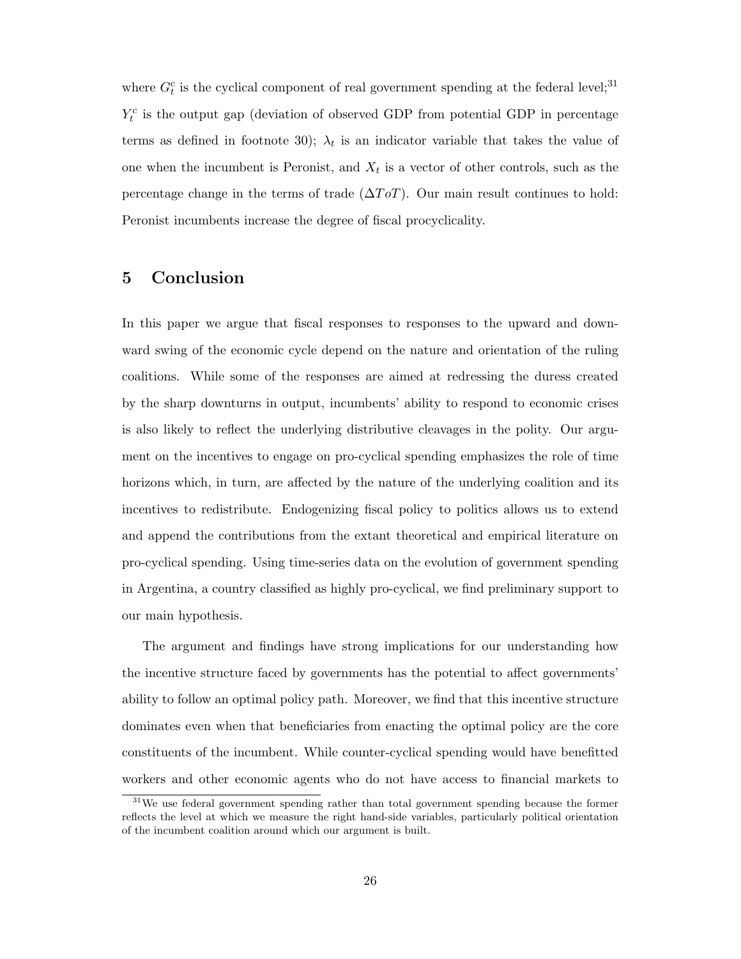where  $G_t^c$  is the cyclical component of real government spending at the federal level;<sup>31</sup>  $Y_t^c$  is the output gap (deviation of observed GDP from potential GDP in percentage terms as defined in footnote 30);  $\lambda_t$  is an indicator variable that takes the value of one when the incumbent is Peronist, and  $X_t$  is a vector of other controls, such as the percentage change in the terms of trade ( $\Delta T \circ T$ ). Our main result continues to hold: Peronist incumbents increase the degree of fiscal procyclicality.

# 5 Conclusion

In this paper we argue that fiscal responses to responses to the upward and downward swing of the economic cycle depend on the nature and orientation of the ruling coalitions. While some of the responses are aimed at redressing the duress created by the sharp downturns in output, incumbents' ability to respond to economic crises is also likely to reflect the underlying distributive cleavages in the polity. Our argument on the incentives to engage on pro-cyclical spending emphasizes the role of time horizons which, in turn, are affected by the nature of the underlying coalition and its incentives to redistribute. Endogenizing fiscal policy to politics allows us to extend and append the contributions from the extant theoretical and empirical literature on pro-cyclical spending. Using time-series data on the evolution of government spending in Argentina, a country classified as highly pro-cyclical, we find preliminary support to our main hypothesis.

The argument and findings have strong implications for our understanding how the incentive structure faced by governments has the potential to affect governments' ability to follow an optimal policy path. Moreover, we find that this incentive structure dominates even when that beneficiaries from enacting the optimal policy are the core constituents of the incumbent. While counter-cyclical spending would have benefitted workers and other economic agents who do not have access to financial markets to

<sup>&</sup>lt;sup>31</sup>We use federal government spending rather than total government spending because the former reflects the level at which we measure the right hand-side variables, particularly political orientation of the incumbent coalition around which our argument is built.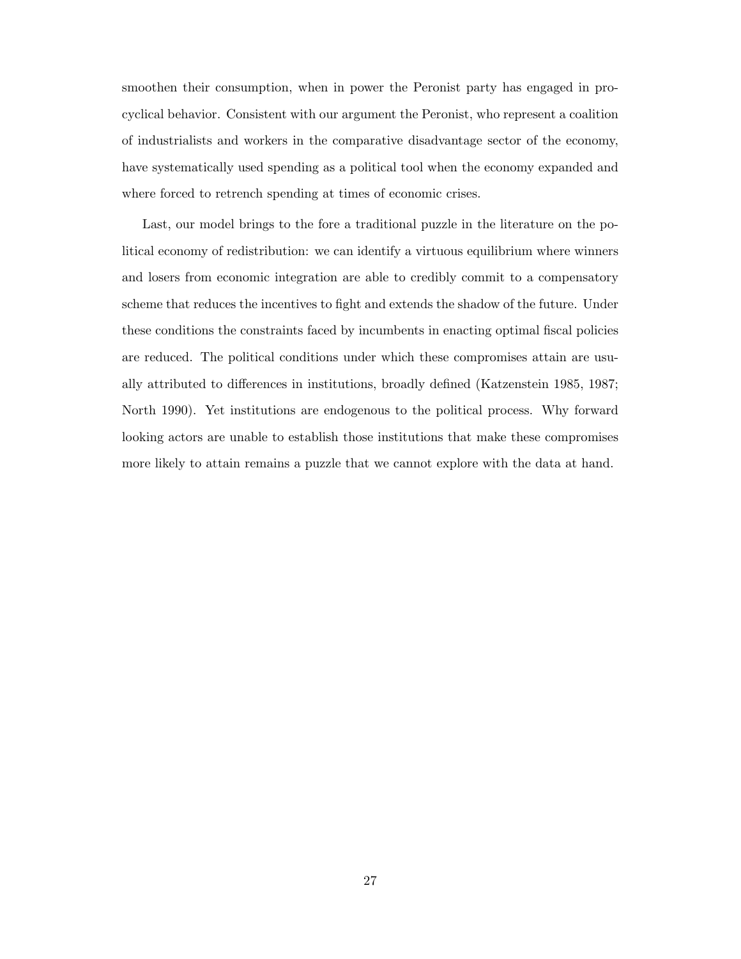smoothen their consumption, when in power the Peronist party has engaged in procyclical behavior. Consistent with our argument the Peronist, who represent a coalition of industrialists and workers in the comparative disadvantage sector of the economy, have systematically used spending as a political tool when the economy expanded and where forced to retrench spending at times of economic crises.

Last, our model brings to the fore a traditional puzzle in the literature on the political economy of redistribution: we can identify a virtuous equilibrium where winners and losers from economic integration are able to credibly commit to a compensatory scheme that reduces the incentives to fight and extends the shadow of the future. Under these conditions the constraints faced by incumbents in enacting optimal fiscal policies are reduced. The political conditions under which these compromises attain are usually attributed to differences in institutions, broadly defined (Katzenstein 1985, 1987; North 1990). Yet institutions are endogenous to the political process. Why forward looking actors are unable to establish those institutions that make these compromises more likely to attain remains a puzzle that we cannot explore with the data at hand.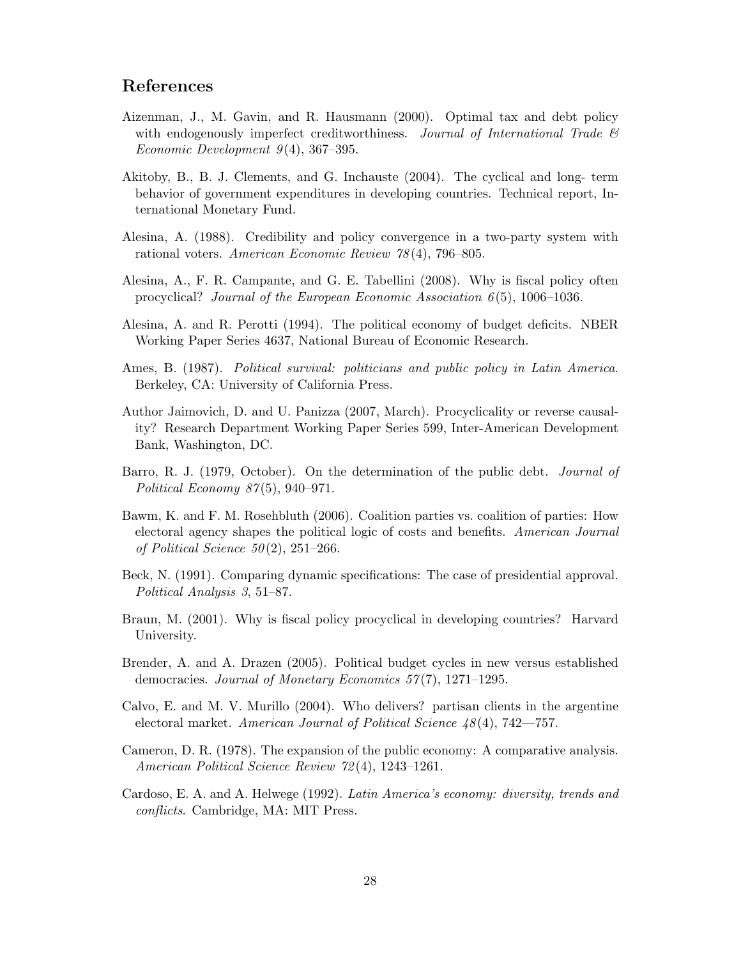# References

- Aizenman, J., M. Gavin, and R. Hausmann (2000). Optimal tax and debt policy with endogenously imperfect creditworthiness. Journal of International Trade  $\mathcal{C}$ Economic Development  $9(4)$ , 367–395.
- Akitoby, B., B. J. Clements, and G. Inchauste (2004). The cyclical and long- term behavior of government expenditures in developing countries. Technical report, International Monetary Fund.
- Alesina, A. (1988). Credibility and policy convergence in a two-party system with rational voters. American Economic Review 78 (4), 796–805.
- Alesina, A., F. R. Campante, and G. E. Tabellini (2008). Why is fiscal policy often procyclical? Journal of the European Economic Association  $6(5)$ , 1006–1036.
- Alesina, A. and R. Perotti (1994). The political economy of budget deficits. NBER Working Paper Series 4637, National Bureau of Economic Research.
- Ames, B. (1987). Political survival: politicians and public policy in Latin America. Berkeley, CA: University of California Press.
- Author Jaimovich, D. and U. Panizza (2007, March). Procyclicality or reverse causality? Research Department Working Paper Series 599, Inter-American Development Bank, Washington, DC.
- Barro, R. J. (1979, October). On the determination of the public debt. Journal of Political Economy 87 (5), 940–971.
- Bawm, K. and F. M. Rosehbluth (2006). Coalition parties vs. coalition of parties: How electoral agency shapes the political logic of costs and benefits. American Journal of Political Science  $50(2)$ ,  $251-266$ .
- Beck, N. (1991). Comparing dynamic specifications: The case of presidential approval. Political Analysis 3, 51–87.
- Braun, M. (2001). Why is fiscal policy procyclical in developing countries? Harvard University.
- Brender, A. and A. Drazen (2005). Political budget cycles in new versus established democracies. Journal of Monetary Economics  $57(7)$ , 1271–1295.
- Calvo, E. and M. V. Murillo (2004). Who delivers? partisan clients in the argentine electoral market. American Journal of Political Science 48 (4), 742—757.
- Cameron, D. R. (1978). The expansion of the public economy: A comparative analysis. American Political Science Review 72 (4), 1243–1261.
- Cardoso, E. A. and A. Helwege (1992). Latin America's economy: diversity, trends and conflicts. Cambridge, MA: MIT Press.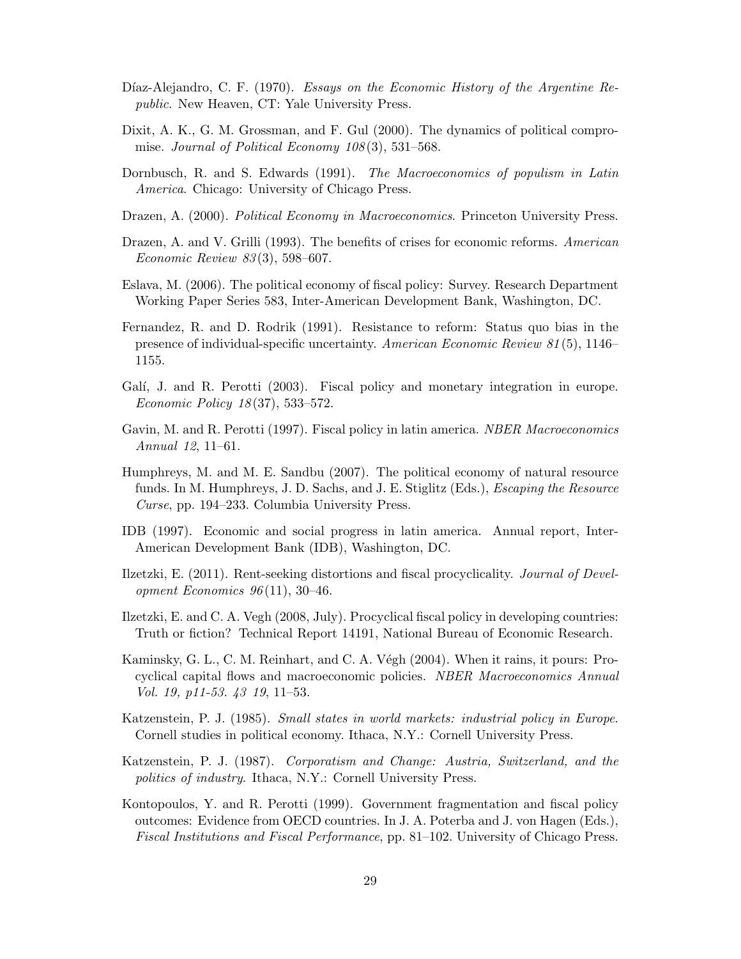- Díaz-Alejandro, C. F. (1970). Essays on the Economic History of the Argentine Republic. New Heaven, CT: Yale University Press.
- Dixit, A. K., G. M. Grossman, and F. Gul (2000). The dynamics of political compromise. Journal of Political Economy 108(3), 531-568.
- Dornbusch, R. and S. Edwards (1991). The Macroeconomics of populism in Latin America. Chicago: University of Chicago Press.
- Drazen, A. (2000). Political Economy in Macroeconomics. Princeton University Press.
- Drazen, A. and V. Grilli (1993). The benefits of crises for economic reforms. American Economic Review 83 (3), 598–607.
- Eslava, M. (2006). The political economy of fiscal policy: Survey. Research Department Working Paper Series 583, Inter-American Development Bank, Washington, DC.
- Fernandez, R. and D. Rodrik (1991). Resistance to reform: Status quo bias in the presence of individual-specific uncertainty. American Economic Review 81 (5), 1146– 1155.
- Galí, J. and R. Perotti (2003). Fiscal policy and monetary integration in europe. Economic Policy 18 (37), 533–572.
- Gavin, M. and R. Perotti (1997). Fiscal policy in latin america. NBER Macroeconomics Annual 12, 11–61.
- Humphreys, M. and M. E. Sandbu (2007). The political economy of natural resource funds. In M. Humphreys, J. D. Sachs, and J. E. Stiglitz (Eds.), *Escaping the Resource* Curse, pp. 194–233. Columbia University Press.
- IDB (1997). Economic and social progress in latin america. Annual report, Inter-American Development Bank (IDB), Washington, DC.
- Ilzetzki, E. (2011). Rent-seeking distortions and fiscal procyclicality. Journal of Development Economics  $96(11)$ , 30–46.
- Ilzetzki, E. and C. A. Vegh (2008, July). Procyclical fiscal policy in developing countries: Truth or fiction? Technical Report 14191, National Bureau of Economic Research.
- Kaminsky, G. L., C. M. Reinhart, and C. A. Végh (2004). When it rains, it pours: Procyclical capital flows and macroeconomic policies. NBER Macroeconomics Annual Vol. 19, p11-53. 43 19, 11–53.
- Katzenstein, P. J. (1985). Small states in world markets: industrial policy in Europe. Cornell studies in political economy. Ithaca, N.Y.: Cornell University Press.
- Katzenstein, P. J. (1987). Corporatism and Change: Austria, Switzerland, and the politics of industry. Ithaca, N.Y.: Cornell University Press.
- Kontopoulos, Y. and R. Perotti (1999). Government fragmentation and fiscal policy outcomes: Evidence from OECD countries. In J. A. Poterba and J. von Hagen (Eds.), Fiscal Institutions and Fiscal Performance, pp. 81–102. University of Chicago Press.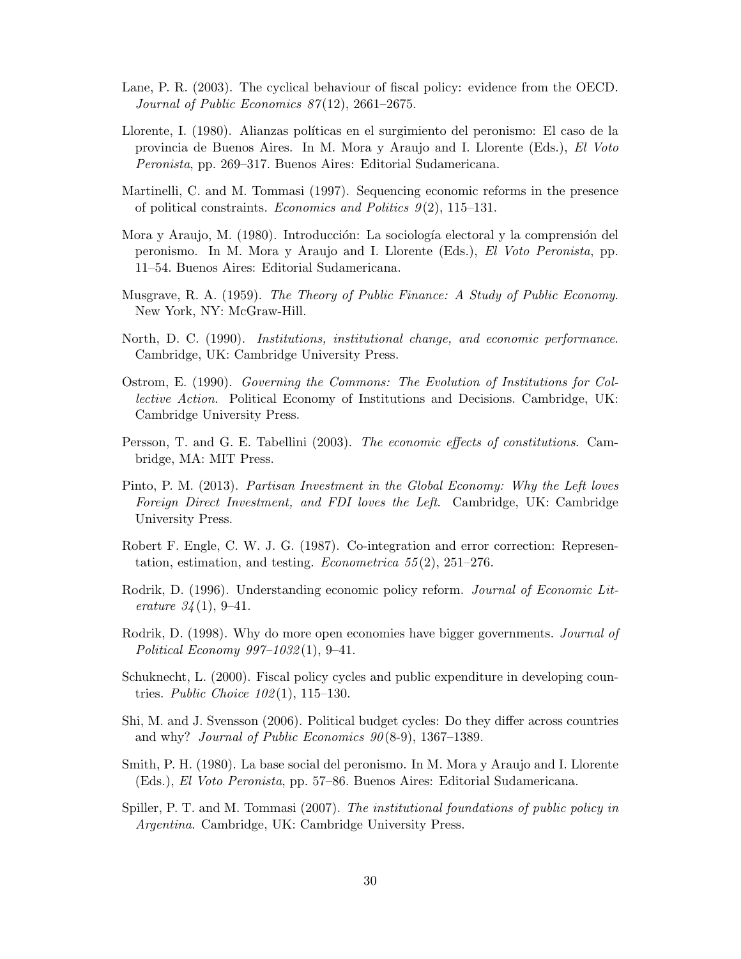- Lane, P. R. (2003). The cyclical behaviour of fiscal policy: evidence from the OECD. Journal of Public Economics 87(12), 2661–2675.
- Llorente, I. (1980). Alianzas políticas en el surgimiento del peronismo: El caso de la provincia de Buenos Aires. In M. Mora y Araujo and I. Llorente (Eds.), El Voto Peronista, pp. 269–317. Buenos Aires: Editorial Sudamericana.
- Martinelli, C. and M. Tommasi (1997). Sequencing economic reforms in the presence of political constraints. Economics and Politics  $9(2)$ , 115–131.
- Mora y Araujo, M. (1980). Introducción: La sociología electoral y la comprensión del peronismo. In M. Mora y Araujo and I. Llorente (Eds.), El Voto Peronista, pp. 11–54. Buenos Aires: Editorial Sudamericana.
- Musgrave, R. A. (1959). The Theory of Public Finance: A Study of Public Economy. New York, NY: McGraw-Hill.
- North, D. C. (1990). Institutions, institutional change, and economic performance. Cambridge, UK: Cambridge University Press.
- Ostrom, E. (1990). Governing the Commons: The Evolution of Institutions for Collective Action. Political Economy of Institutions and Decisions. Cambridge, UK: Cambridge University Press.
- Persson, T. and G. E. Tabellini (2003). The economic effects of constitutions. Cambridge, MA: MIT Press.
- Pinto, P. M. (2013). Partisan Investment in the Global Economy: Why the Left loves Foreign Direct Investment, and FDI loves the Left. Cambridge, UK: Cambridge University Press.
- Robert F. Engle, C. W. J. G. (1987). Co-integration and error correction: Representation, estimation, and testing. *Econometrica* 55(2), 251–276.
- Rodrik, D. (1996). Understanding economic policy reform. *Journal of Economic Lit*erature  $34(1), 9-41$ .
- Rodrik, D. (1998). Why do more open economies have bigger governments. Journal of Political Economy 997–1032 (1), 9–41.
- Schuknecht, L. (2000). Fiscal policy cycles and public expenditure in developing countries. *Public Choice*  $102(1)$ , 115–130.
- Shi, M. and J. Svensson (2006). Political budget cycles: Do they differ across countries and why? Journal of Public Economics  $90(8-9)$ , 1367–1389.
- Smith, P. H. (1980). La base social del peronismo. In M. Mora y Araujo and I. Llorente (Eds.), El Voto Peronista, pp. 57–86. Buenos Aires: Editorial Sudamericana.
- Spiller, P. T. and M. Tommasi (2007). The institutional foundations of public policy in Argentina. Cambridge, UK: Cambridge University Press.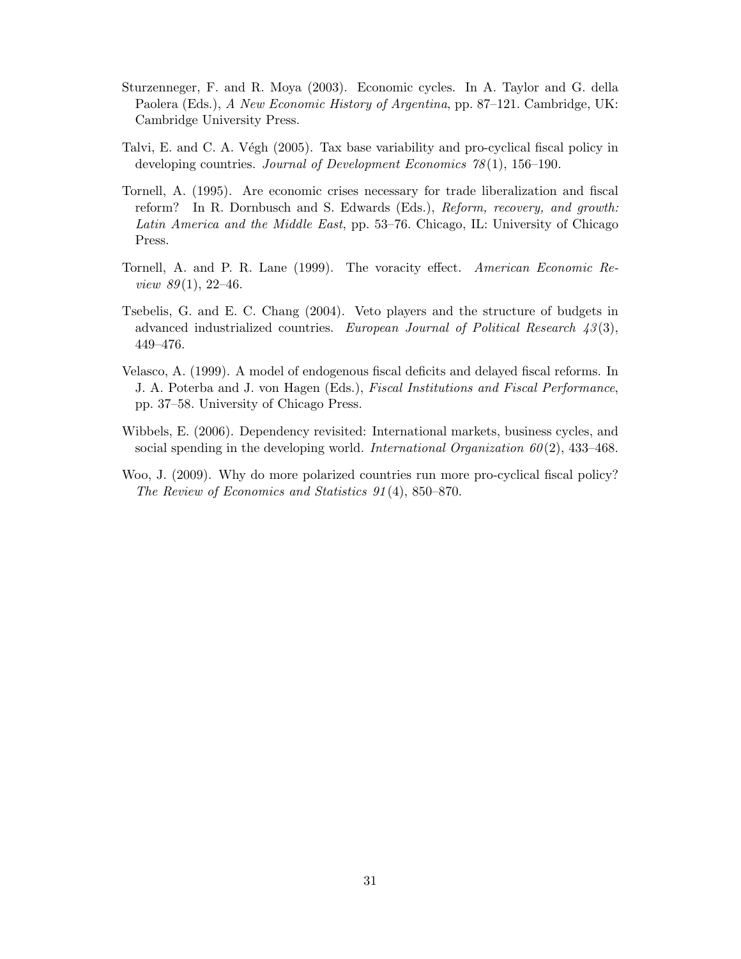- Sturzenneger, F. and R. Moya (2003). Economic cycles. In A. Taylor and G. della Paolera (Eds.), A New Economic History of Argentina, pp. 87–121. Cambridge, UK: Cambridge University Press.
- Talvi, E. and C. A. Végh (2005). Tax base variability and pro-cyclical fiscal policy in developing countries. Journal of Development Economics 78 (1), 156–190.
- Tornell, A. (1995). Are economic crises necessary for trade liberalization and fiscal reform? In R. Dornbusch and S. Edwards (Eds.), Reform, recovery, and growth: Latin America and the Middle East, pp. 53–76. Chicago, IL: University of Chicago Press.
- Tornell, A. and P. R. Lane (1999). The voracity effect. American Economic Re*view 89*(1), 22–46.
- Tsebelis, G. and E. C. Chang (2004). Veto players and the structure of budgets in advanced industrialized countries. European Journal of Political Research  $43(3)$ , 449–476.
- Velasco, A. (1999). A model of endogenous fiscal deficits and delayed fiscal reforms. In J. A. Poterba and J. von Hagen (Eds.), Fiscal Institutions and Fiscal Performance, pp. 37–58. University of Chicago Press.
- Wibbels, E. (2006). Dependency revisited: International markets, business cycles, and social spending in the developing world. International Organization  $60(2)$ , 433–468.
- Woo, J. (2009). Why do more polarized countries run more pro-cyclical fiscal policy? The Review of Economics and Statistics 91 (4), 850–870.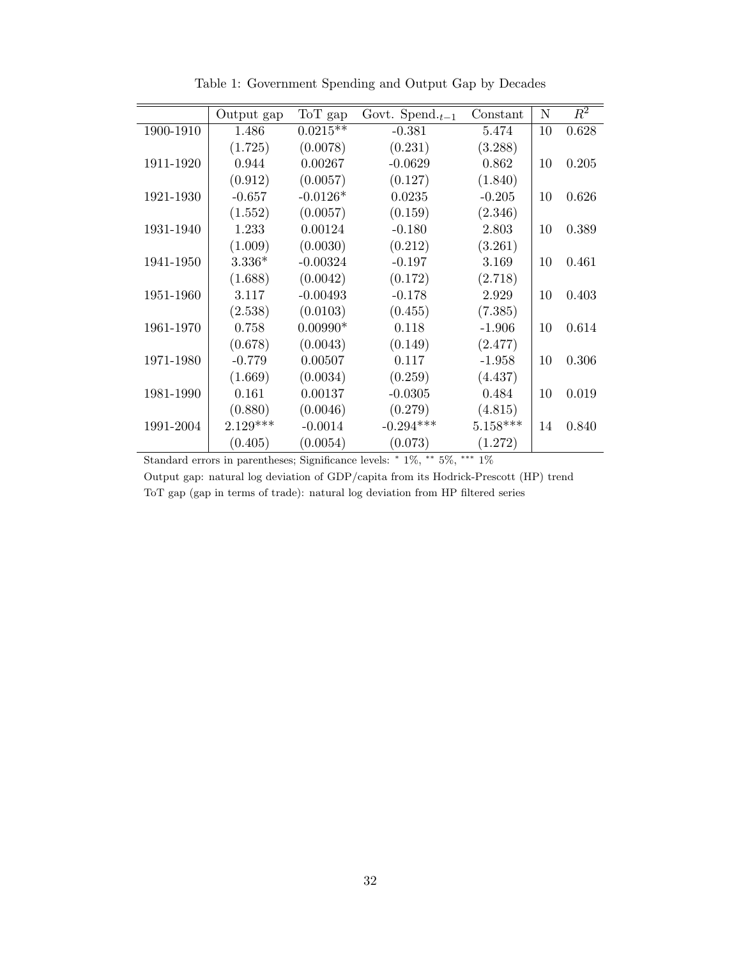|           | Output gap | ToT gap    | Govt. Spend. $_{t-1}$ | Constant   | $\mathbf N$ | $\overline{R^2}$ |
|-----------|------------|------------|-----------------------|------------|-------------|------------------|
| 1900-1910 | 1.486      | $0.0215**$ | $-0.381$              | 5.474      | 10          | 0.628            |
|           | (1.725)    | (0.0078)   | (0.231)               | (3.288)    |             |                  |
|           |            |            |                       |            |             |                  |
| 1911-1920 | 0.944      | 0.00267    | $-0.0629$             | 0.862      | 10          | 0.205            |
|           | (0.912)    | (0.0057)   | (0.127)               | (1.840)    |             |                  |
| 1921-1930 | $-0.657$   | $-0.0126*$ | 0.0235                | $-0.205$   | 10          | 0.626            |
|           | (1.552)    | (0.0057)   | (0.159)               | (2.346)    |             |                  |
| 1931-1940 | 1.233      | 0.00124    | $-0.180$              | 2.803      | 10          | 0.389            |
|           | (1.009)    | (0.0030)   | (0.212)               | (3.261)    |             |                  |
| 1941-1950 | $3.336*$   | $-0.00324$ | $-0.197$              | 3.169      | 10          | 0.461            |
|           | (1.688)    | (0.0042)   | (0.172)               | (2.718)    |             |                  |
| 1951-1960 | 3.117      | $-0.00493$ | $-0.178$              | 2.929      | 10          | 0.403            |
|           | (2.538)    | (0.0103)   | (0.455)               | (7.385)    |             |                  |
| 1961-1970 | 0.758      | $0.00990*$ | 0.118                 | $-1.906$   | 10          | 0.614            |
|           | (0.678)    | (0.0043)   | (0.149)               | (2.477)    |             |                  |
| 1971-1980 | $-0.779$   | 0.00507    | 0.117                 | $-1.958$   | 10          | 0.306            |
|           | (1.669)    | (0.0034)   | (0.259)               | (4.437)    |             |                  |
| 1981-1990 | 0.161      | 0.00137    | $-0.0305$             | 0.484      | 10          | 0.019            |
|           | (0.880)    | (0.0046)   | (0.279)               | (4.815)    |             |                  |
| 1991-2004 | $2.129***$ | $-0.0014$  | $-0.294***$           | $5.158***$ | 14          | 0.840            |
|           | (0.405)    | (0.0054)   | (0.073)               | (1.272)    |             |                  |

Table 1: Government Spending and Output Gap by Decades

Standard errors in parentheses; Significance levels: <sup>∗</sup> 1%, ∗∗ 5%, ∗∗∗ 1%

Output gap: natural log deviation of GDP/capita from its Hodrick-Prescott (HP) trend ToT gap (gap in terms of trade): natural log deviation from HP filtered series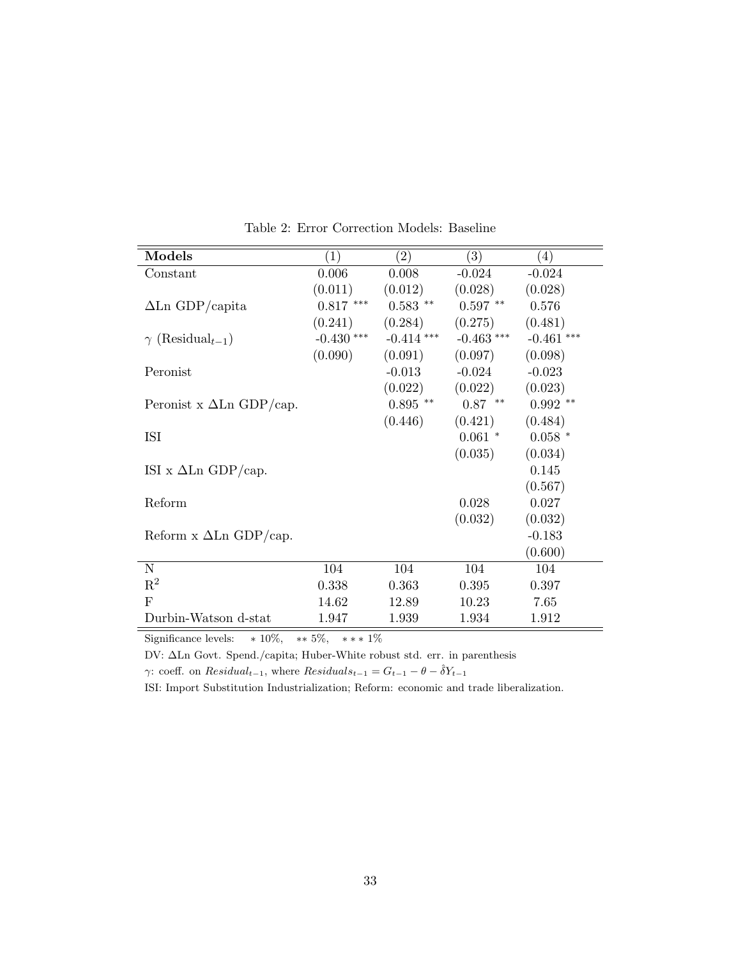| Models                              | (1)          | (2)          | (3)          | (4)          |
|-------------------------------------|--------------|--------------|--------------|--------------|
| Constant                            | 0.006        | 0.008        | $-0.024$     | $-0.024$     |
|                                     | (0.011)      | (0.012)      | (0.028)      | (0.028)      |
| $\Delta$ Ln GDP/capita              | $0.817$ ***  | $0.583$ **   | $0.597$ **   | 0.576        |
|                                     | (0.241)      | (0.284)      | (0.275)      | (0.481)      |
| $\gamma$ (Residual <sub>t-1</sub> ) | $-0.430$ *** | $-0.414$ *** | $-0.463$ *** | $-0.461$ *** |
|                                     | (0.090)      | (0.091)      | (0.097)      | (0.098)      |
| Peronist                            |              | $-0.013$     | $-0.024$     | $-0.023$     |
|                                     |              | (0.022)      | (0.022)      | (0.023)      |
| Peronist x $\Delta$ Ln GDP/cap.     |              | $0.895$ **   | $0.87$ **    | $0.992$ **   |
|                                     |              | (0.446)      | (0.421)      | (0.484)      |
| ISI                                 |              |              | $0.061$ *    | $0.058$ *    |
|                                     |              |              | (0.035)      | (0.034)      |
| ISI x $\Delta$ Ln GDP/cap.          |              |              |              | 0.145        |
|                                     |              |              |              | (0.567)      |
| Reform                              |              |              | 0.028        | 0.027        |
|                                     |              |              | (0.032)      | (0.032)      |
| Reform $x \Delta Ln GDP/cap$ .      |              |              |              | $-0.183$     |
|                                     |              |              |              | (0.600)      |
| $\mathbf N$                         | 104          | 104          | 104          | 104          |
| $\mathbf{R}^2$                      | 0.338        | 0.363        | 0.395        | 0.397        |
| $\mathbf{F}$                        | 14.62        | 12.89        | 10.23        | 7.65         |
| Durbin-Watson d-stat                | 1.947        | 1.939        | 1.934        | 1.912        |

Table 2: Error Correction Models: Baseline

Significance levels:  $* 10\%, * 5\%, *** 1\%$ 

DV: ∆Ln Govt. Spend./capita; Huber-White robust std. err. in parenthesis

γ: coeff. on  $Residual_{t-1}$ , where  $Residuals_{t-1} = G_{t-1} - \theta - \hat{\delta}Y_{t-1}$ 

ISI: Import Substitution Industrialization; Reform: economic and trade liberalization.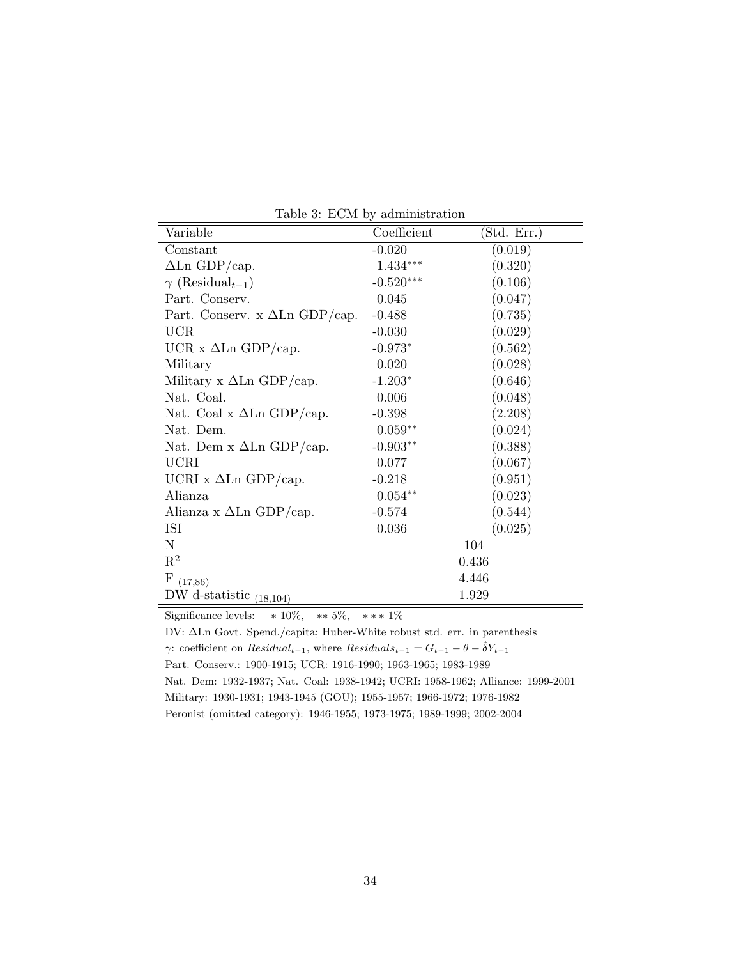| Variable                              | Coefficient | (Std. Err.) |  |
|---------------------------------------|-------------|-------------|--|
| Constant                              | $-0.020$    | (0.019)     |  |
| $\Delta$ Ln GDP/cap.                  | $1.434***$  | (0.320)     |  |
| $\gamma$ (Residual <sub>t-1</sub> )   | $-0.520***$ | (0.106)     |  |
| Part. Conserv.                        | 0.045       | (0.047)     |  |
| Part. Conserv. x $\Delta$ Ln GDP/cap. | $-0.488$    | (0.735)     |  |
| <b>UCR</b>                            | $-0.030$    | (0.029)     |  |
| UCR x $\Delta$ Ln GDP/cap.            | $-0.973*$   | (0.562)     |  |
| Military                              | 0.020       | (0.028)     |  |
| Military x $\Delta$ Ln GDP/cap.       | $-1.203*$   | (0.646)     |  |
| Nat. Coal.                            | 0.006       | (0.048)     |  |
| Nat. Coal x $\Delta$ Ln GDP/cap.      | $-0.398$    | (2.208)     |  |
| Nat. Dem.                             | $0.059**$   | (0.024)     |  |
| Nat. Dem x $\Delta$ Ln GDP/cap.       | $-0.903**$  | (0.388)     |  |
| <b>UCRI</b>                           | 0.077       | (0.067)     |  |
| UCRI x $\Delta$ Ln GDP/cap.           | $-0.218$    | (0.951)     |  |
| Alianza                               | $0.054**$   | (0.023)     |  |
| Alianza x $\Delta$ Ln GDP/cap.        | $-0.574$    | (0.544)     |  |
| ISI                                   | 0.036       | (0.025)     |  |
| N                                     |             | 104         |  |
| $\mathbf{R}^2$                        | 0.436       |             |  |
| F<br>(17, 86)                         |             | 4.446       |  |
| DW d-statistic $(18,104)$             |             | 1.929       |  |

Table 3: ECM by administration

Significance levels:  $* 10\%, * 5\%, * ** 1\%$ 

DV: ∆Ln Govt. Spend./capita; Huber-White robust std. err. in parenthesis γ: coefficient on  $Residual_{t-1}$ , where  $Residual_{t-1} = G_{t-1} - \theta - \hat{\delta}Y_{t-1}$ Part. Conserv.: 1900-1915; UCR: 1916-1990; 1963-1965; 1983-1989 Nat. Dem: 1932-1937; Nat. Coal: 1938-1942; UCRI: 1958-1962; Alliance: 1999-2001 Military: 1930-1931; 1943-1945 (GOU); 1955-1957; 1966-1972; 1976-1982 Peronist (omitted category): 1946-1955; 1973-1975; 1989-1999; 2002-2004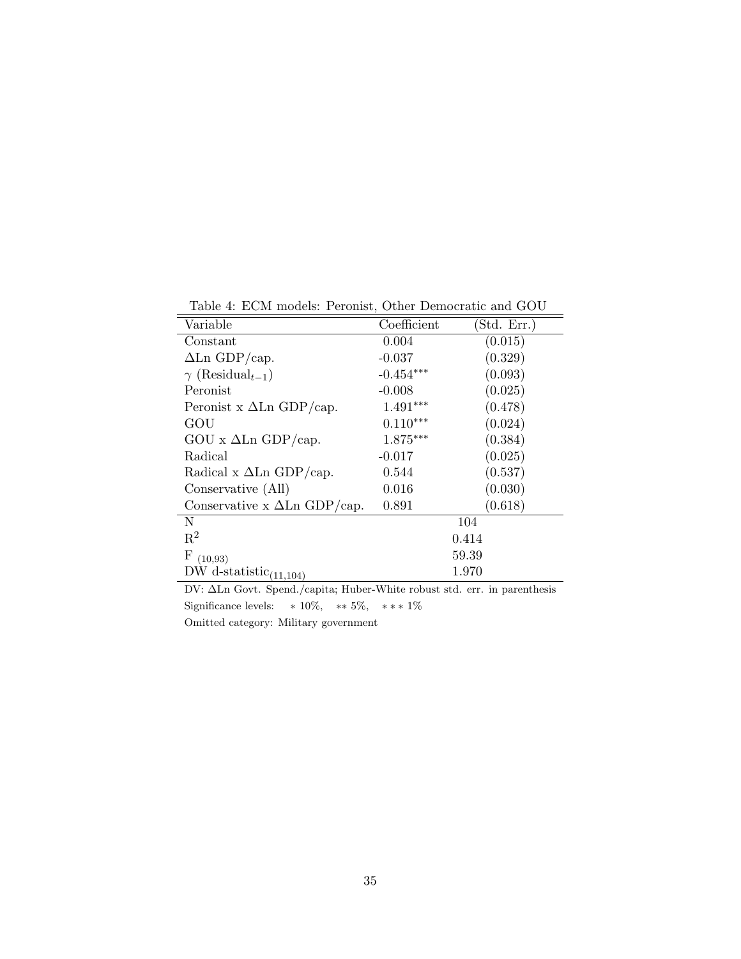Table 4: ECM models: Peronist, Other Democratic and GOU

| Variable                            | Coefficient | (Std. Err.) |
|-------------------------------------|-------------|-------------|
| Constant                            | 0.004       | (0.015)     |
| $\Delta$ Ln GDP/cap.                | $-0.037$    | (0.329)     |
| $\gamma$ (Residual <sub>t-1</sub> ) | $-0.454***$ | (0.093)     |
| Peronist                            | $-0.008$    | (0.025)     |
| Peronist x $\Delta$ Ln GDP/cap.     | $1.491***$  | (0.478)     |
| GOU                                 | $0.110***$  | (0.024)     |
| GOU x $\Delta$ Ln GDP/cap.          | $1.875***$  | (0.384)     |
| Radical                             | $-0.017$    | (0.025)     |
| Radical x $\Delta$ Ln GDP/cap.      | 0.544       | (0.537)     |
| Conservative (All)                  | 0.016       | (0.030)     |
| Conservative x $\Delta$ Ln GDP/cap. | 0.891       | (0.618)     |
| N                                   |             | 104         |
| $\mathbf{R}^2$                      |             | 0.414       |
| $\mathbf{F}$<br>(10.93)             |             | 59.39       |
| DW d-statistic $(11,104)$           |             | 1.970       |

DV: ∆Ln Govt. Spend./capita; Huber-White robust std. err. in parenthesis Significance levels:  $* 10\%, ** 5\%, *** 1\%$ Omitted category: Military government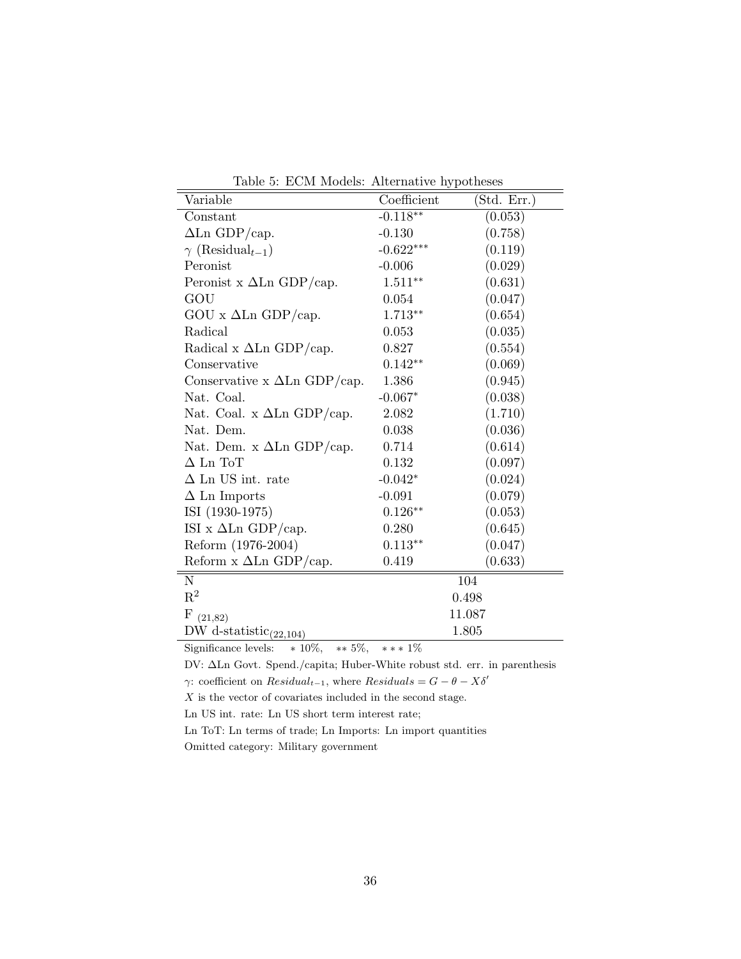|  |  |  | Table 5: ECM Models: Alternative hypotheses |  |
|--|--|--|---------------------------------------------|--|
|--|--|--|---------------------------------------------|--|

| Variable                             | Coefficient | (Std. Err.) |
|--------------------------------------|-------------|-------------|
| Constant                             | $-0.118**$  | (0.053)     |
| $\Delta$ Ln GDP/cap.                 | $-0.130$    | (0.758)     |
| $\gamma$ (Residual <sub>t-1</sub> )  | $-0.622***$ | (0.119)     |
| Peronist                             | $-0.006$    | (0.029)     |
| Peronist x $\Delta$ Ln GDP/cap.      | $1.511**$   | (0.631)     |
| GOU                                  | 0.054       | (0.047)     |
| GOU x $\Delta$ Ln GDP/cap.           | $1.713**$   | (0.654)     |
| Radical                              | 0.053       | (0.035)     |
| Radical x $\Delta$ Ln GDP/cap.       | 0.827       | (0.554)     |
| Conservative                         | $0.142**$   | (0.069)     |
| Conservative $x \Delta Ln GDP/cap$ . | 1.386       | (0.945)     |
| Nat. Coal.                           | $-0.067*$   | (0.038)     |
| Nat. Coal. x $\Delta$ Ln GDP/cap.    | 2.082       | (1.710)     |
| Nat. Dem.                            | 0.038       | (0.036)     |
| Nat. Dem. x $\Delta$ Ln GDP/cap.     | 0.714       | (0.614)     |
| $\Delta$ Ln ToT                      | 0.132       | (0.097)     |
| $\Delta$ Ln US int. rate             | $-0.042*$   | (0.024)     |
| $\Delta$ Ln Imports                  | $-0.091$    | (0.079)     |
| ISI (1930-1975)                      | $0.126**$   | (0.053)     |
| ISI x $\Delta$ Ln GDP/cap.           | 0.280       | (0.645)     |
| Reform (1976-2004)                   | $0.113**$   | (0.047)     |
| Reform $x \Delta Ln GDP/cap$ .       | 0.419       | (0.633)     |
| $\mathbf N$                          |             | 104         |
| $\mathbf{R}^2$                       |             | 0.498       |
| F<br>(21, 82)                        |             | 11.087      |
| DW d-statistic $_{(22,104)}$         |             | 1.805       |

Significance levels:  $* 10\%, * 5\%, *** 1\%$ 

DV: ∆Ln Govt. Spend./capita; Huber-White robust std. err. in parenthesis

γ: coefficient on  $Residual_{t-1}$ , where  $Residuals = G - \theta - X\delta'$ 

 $\boldsymbol{X}$  is the vector of covariates included in the second stage.

Ln US int. rate: Ln US short term interest rate;

Ln ToT: Ln terms of trade; Ln Imports: Ln import quantities

Omitted category: Military government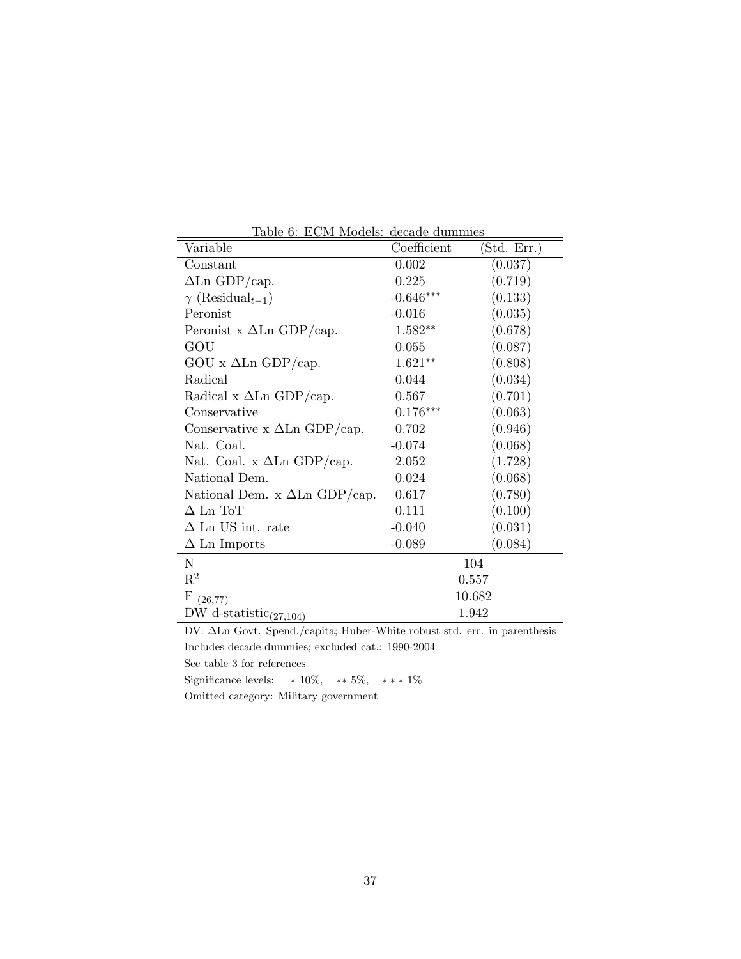| Table 6: ECM Models: decade duminies    |             |             |  |
|-----------------------------------------|-------------|-------------|--|
| Variable                                | Coefficient | (Std. Err.) |  |
| Constant                                | 0.002       | (0.037)     |  |
| $\Delta$ Ln GDP/cap.                    | 0.225       | (0.719)     |  |
| $\gamma$ (Residual <sub>t-1</sub> )     | $-0.646***$ | (0.133)     |  |
| Peronist                                | $-0.016$    | (0.035)     |  |
| Peronist x $\Delta$ Ln GDP/cap.         | $1.582**$   | (0.678)     |  |
| GOU                                     | 0.055       | (0.087)     |  |
| $GOU \times \Delta Ln \text{ GDP/cap.}$ | $1.621**$   | (0.808)     |  |
| Radical                                 | 0.044       | (0.034)     |  |
| Radical x $\Delta$ Ln GDP/cap.          | 0.567       | (0.701)     |  |
| Conservative                            | $0.176***$  | (0.063)     |  |
| Conservative $x \Delta Ln GDP/cap$ .    | 0.702       | (0.946)     |  |
| Nat. Coal.                              | $-0.074$    | (0.068)     |  |
| Nat. Coal. x $\Delta$ Ln GDP/cap.       | 2.052       | (1.728)     |  |
| National Dem.                           | 0.024       | (0.068)     |  |
| National Dem. x $\Delta$ Ln GDP/cap.    | 0.617       | (0.780)     |  |
| $\Delta$ Ln ToT                         | 0.111       | (0.100)     |  |
| $\Delta$ Ln US int. rate                | $-0.040$    | (0.031)     |  |
| $\Delta$ Ln Imports                     | $-0.089$    | (0.084)     |  |
| N                                       | 104         |             |  |
| $\mathbf{R}^2$                          | 0.557       |             |  |
| $\mathbf{F}$<br>(26, 77)                | 10.682      |             |  |
| DW d-statistic $_{(27,104)}$            | 1.942       |             |  |

Table 6: ECM Models: decade dummie

DV: ∆Ln Govt. Spend./capita; Huber-White robust std. err. in parenthesis Includes decade dummies; excluded cat.: 1990-2004

See table 3 for references

Significance levels:  $* 10\%, * 5\%, ** 1\%$ Omitted category: Military government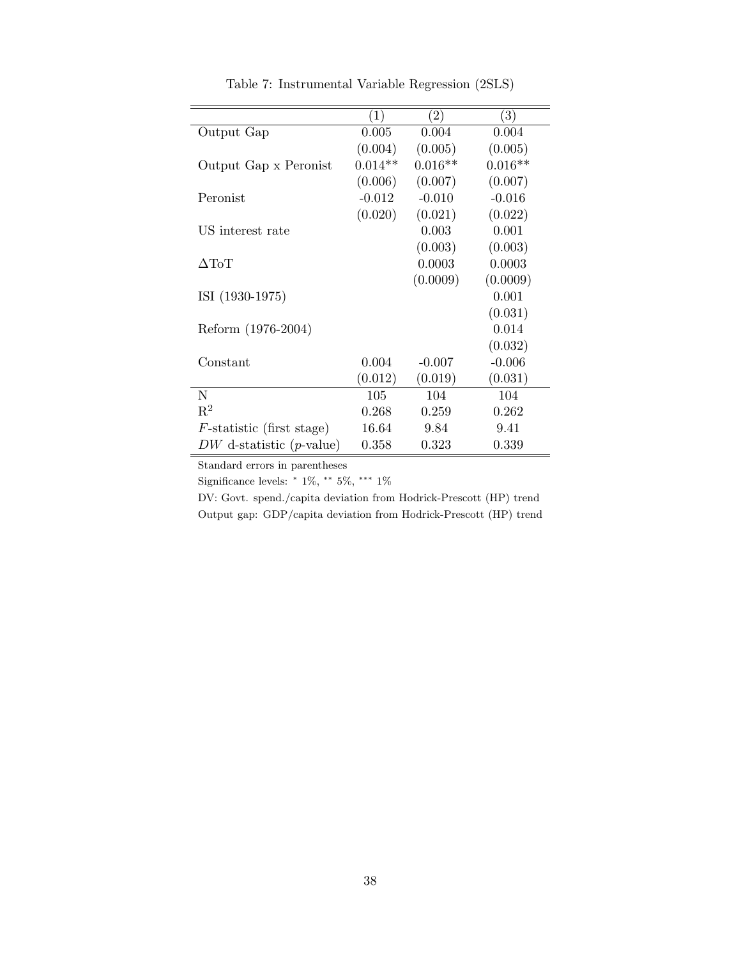|                                     | (1)       | $\left( 2\right)$ | $\left( 3\right)$ |
|-------------------------------------|-----------|-------------------|-------------------|
| Output Gap                          | 0.005     | 0.004             | 0.004             |
|                                     | (0.004)   | (0.005)           | (0.005)           |
| Output Gap x Peronist               | $0.014**$ | $0.016**$         | $0.016**$         |
|                                     | (0.006)   | (0.007)           | (0.007)           |
| Peronist                            | $-0.012$  | $-0.010$          | $-0.016$          |
|                                     | (0.020)   | (0.021)           | (0.022)           |
| US interest rate                    |           | 0.003             | 0.001             |
|                                     |           | (0.003)           | (0.003)           |
| $\Delta {\rm ToT}$                  |           | 0.0003            | 0.0003            |
|                                     |           | (0.0009)          | (0.0009)          |
| ISI (1930-1975)                     |           |                   | 0.001             |
|                                     |           |                   | (0.031)           |
| Reform (1976-2004)                  |           |                   | 0.014             |
|                                     |           |                   | (0.032)           |
| Constant                            | 0.004     | $-0.007$          | $-0.006$          |
|                                     | (0.012)   | (0.019)           | (0.031)           |
| N                                   | 105       | 104               | 104               |
| $\mathbf{R}^2$                      | 0.268     | 0.259             | 0.262             |
| $F$ -statistic (first stage)        | 16.64     | 9.84              | 9.41              |
| $DW$ d-statistic ( <i>p</i> -value) | 0.358     | 0.323             | 0.339             |

Table 7: Instrumental Variable Regression (2SLS)

Standard errors in parentheses

Significance levels:  $* 1\%, ** 5\%, *** 1\%$ 

DV: Govt. spend./capita deviation from Hodrick-Prescott (HP) trend Output gap: GDP/capita deviation from Hodrick-Prescott (HP) trend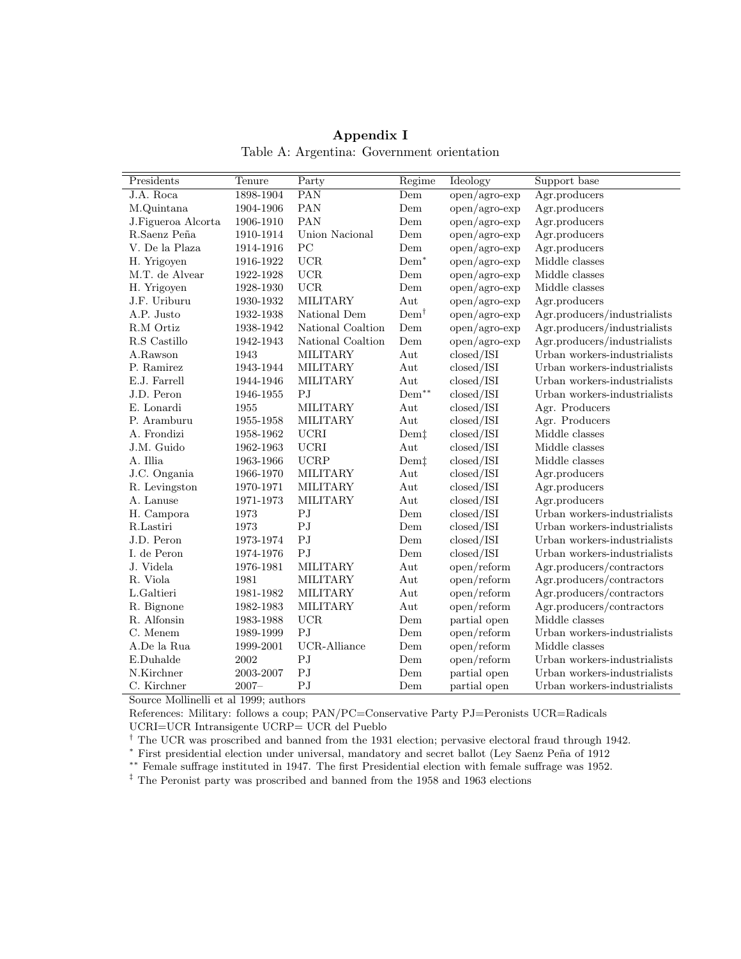| Presidents         | Tenure        | Party                  | Regime                               | Ideology                            | Support base                 |
|--------------------|---------------|------------------------|--------------------------------------|-------------------------------------|------------------------------|
| J.A. Roca          | 1898-1904     | PAN                    | Dem                                  | open/agro-exp                       | Agr.producers                |
| M.Quintana         | 1904-1906     | PAN                    | Dem                                  | $open/agro-exp$                     | Agr.producers                |
| J.Figueroa Alcorta | 1906-1910     | PAN                    | Dem                                  | open/agro-exp                       | Agr.producers                |
| R.Saenz Peña       | 1910-1914     | Union Nacional         | Dem                                  | $open/agro-exp$                     | Agr.producers                |
| V. De la Plaza     | 1914-1916     | PC                     | Dem                                  | $open/agro-exp$                     | Agr.producers                |
| H. Yrigoyen        | 1916-1922     | UCR                    | $Dem^*$                              | open/agro-exp                       | Middle classes               |
| M.T. de Alvear     | 1922-1928     | <b>UCR</b>             | Dem                                  | open/agro-exp                       | Middle classes               |
| H. Yrigoyen        | 1928-1930     | <b>UCR</b>             | Dem                                  | $open/agro-exp$                     | Middle classes               |
| J.F. Uriburu       | 1930-1932     | <b>MILITARY</b>        | Aut                                  | $open/agro-exp$                     | Agr.producers                |
| A.P. Justo         | 1932-1938     | National Dem           | $Dem^{\dagger}$                      | open/agro-exp                       | Agr.producers/industrialists |
| R.M Ortiz          | 1938-1942     | National Coaltion      | Dem                                  | $open/agro-exp$                     | Agr.producers/industrialists |
| R.S Castillo       | 1942-1943     | National Coaltion      | Dem                                  | $open/agro-exp$                     | Agr.producers/industrialists |
| A.Rawson           | 1943          | <b>MILITARY</b>        | Aut                                  | closed/ISI                          | Urban workers-industrialists |
| P. Ramirez         | 1943-1944     | <b>MILITARY</b>        | Aut                                  | closed/ISI                          | Urban workers-industrialists |
| E.J. Farrell       | 1944-1946     | MILITARY               | Aut                                  | closed/ISI                          | Urban workers-industrialists |
| J.D. Peron         | 1946-1955     | PJ                     | $\mathrm{Dem}^{**}$                  | closed/ISI                          | Urban workers-industrialists |
| E. Lonardi         | 1955          | MILITARY               | Aut                                  | closed/ISI                          | Agr. Producers               |
| P. Aramburu        | 1955-1958     | <b>MILITARY</b>        | Aut                                  | closed/ISI                          | Agr. Producers               |
| A. Frondizi        | 1958-1962     | <b>UCRI</b>            | Dem                                  | closed/ISI                          | Middle classes               |
| J.M. Guido         | 1962-1963     | <b>UCRI</b>            | Aut                                  | closed/ISI                          | Middle classes               |
| A. Illia           | $1963 - 1966$ | <b>UCRP</b>            | Dem <sup><math>\ddagger</math></sup> | closed/ISI                          | Middle classes               |
| J.C. Ongania       | 1966-1970     | <b>MILITARY</b>        | Aut                                  | closed/ISI                          | Agr.producers                |
| R. Levingston      | 1970-1971     | <b>MILITARY</b>        | Aut                                  | closed/ISI                          | Agr.producers                |
| A. Lanuse          | 1971-1973     | MILITARY               | Aut                                  | closed/ISI                          | Agr.producers                |
| H. Campora         | 1973          | PJ                     | Dem                                  | closed/ISI                          | Urban workers-industrialists |
| R.Lastiri          | 1973          | PJ                     | Dem                                  | closed/ISI                          | Urban workers-industrialists |
| J.D. Peron         | 1973-1974     | $\mathbf{P}\mathbf{J}$ | Dem                                  | closed/ISI                          | Urban workers-industrialists |
| I. de Peron        | 1974-1976     | PJ                     | Dem                                  | closed/ISI                          | Urban workers-industrialists |
| J. Videla          | 1976-1981     | MILITARY               | Aut                                  | open/reform                         | Agr.producers/contractors    |
| R. Viola           | 1981          | MILITARY               | Aut                                  | open/reform                         | Agr.producers/contractors    |
| L.Galtieri         | 1981-1982     | MILITARY               | Aut                                  | open/reform                         | Agr.producers/contractors    |
| R. Bignone         | 1982-1983     | <b>MILITARY</b>        | Aut                                  | $\operatorname{open}/\text{reform}$ | Agr.producers/contractors    |
| R. Alfonsin        | 1983-1988     | UCR                    | Dem                                  | partial open                        | Middle classes               |
| C. Menem           | 1989-1999     | P <sub>J</sub>         | Dem                                  | open/reform                         | Urban workers-industrialists |
| A.De la Rua        | 1999-2001     | UCR-Alliance           | Dem                                  | open/reform                         | Middle classes               |
| E.Duhalde          | 2002          | PJ                     | Dem                                  | open/reform                         | Urban workers-industrialists |
| N.Kirchner         | 2003-2007     | PJ                     | Dem                                  | partial open                        | Urban workers-industrialists |
| C. Kirchner        | $2007 -$      | PJ                     | Dem                                  | partial open                        | Urban workers-industrialists |

Appendix I Table A: Argentina: Government orientation

Source Mollinelli et al 1999; authors

References: Military: follows a coup; PAN/PC=Conservative Party PJ=Peronists UCR=Radicals

UCRI=UCR Intransigente UCRP= UCR del Pueblo

† The UCR was proscribed and banned from the 1931 election; pervasive electoral fraud through 1942.

<sup>∗</sup> First presidential election under universal, mandatory and secret ballot (Ley Saenz Pe˜na of 1912

∗∗ Female suffrage instituted in 1947. The first Presidential election with female suffrage was 1952.

 $^\ddag$  The Peronist party was proscribed and banned from the 1958 and 1963 elections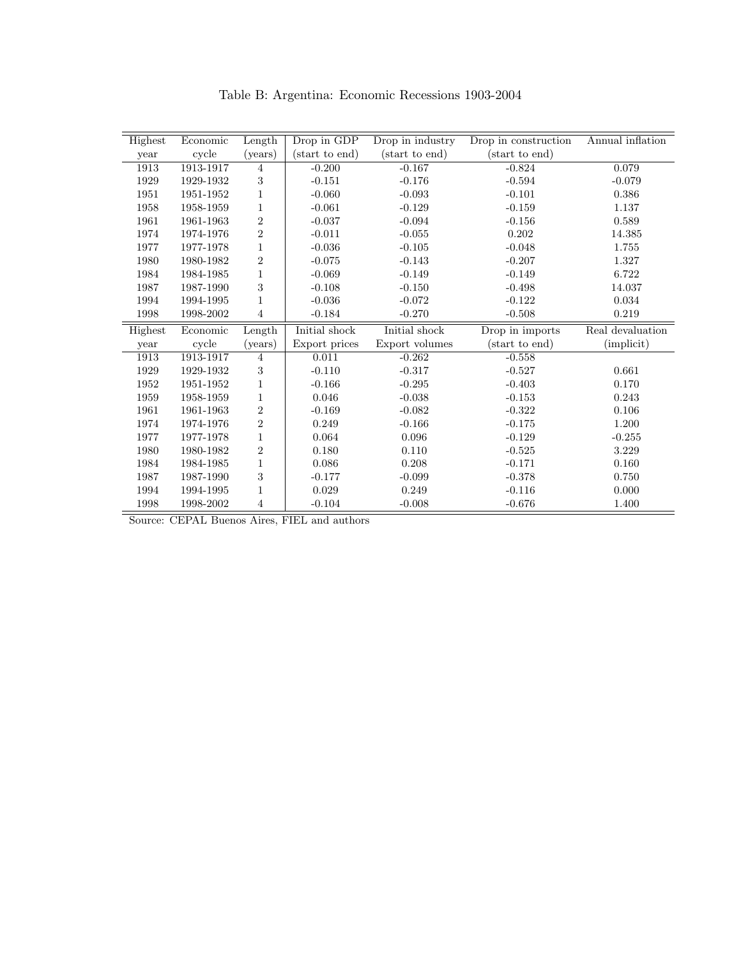| Table B: Argentina: Economic Recessions 1903-2004 |  |  |  |
|---------------------------------------------------|--|--|--|
|---------------------------------------------------|--|--|--|

| Highest | Economic      | Length           | Drop in GDP    | Drop in industry | Drop in construction | Annual inflation |
|---------|---------------|------------------|----------------|------------------|----------------------|------------------|
| year    | cycle         | ( <i>years</i> ) | (start to end) | (start to end)   | (start to end)       |                  |
| 1913    | 1913-1917     | 4                | $-0.200$       | $-0.167$         | $-0.824$             | 0.079            |
| 1929    | 1929-1932     | 3                | $-0.151$       | $-0.176$         | $-0.594$             | $-0.079$         |
| 1951    | $1951 - 1952$ | 1                | $-0.060$       | $-0.093$         | $-0.101$             | 0.386            |
| 1958    | 1958-1959     | $\mathbf 1$      | $-0.061$       | $-0.129$         | $-0.159$             | 1.137            |
| 1961    | 1961-1963     | $\overline{2}$   | $-0.037$       | $-0.094$         | $-0.156$             | 0.589            |
| 1974    | 1974-1976     | $\overline{2}$   | $-0.011$       | $-0.055$         | 0.202                | 14.385           |
| 1977    | 1977-1978     | 1                | $-0.036$       | $-0.105$         | $-0.048$             | 1.755            |
| 1980    | 1980-1982     | $\overline{2}$   | $-0.075$       | $-0.143$         | $-0.207$             | 1.327            |
| 1984    | 1984-1985     | $\mathbf{1}$     | $-0.069$       | $-0.149$         | $-0.149$             | 6.722            |
| 1987    | 1987-1990     | 3                | $-0.108$       | $-0.150$         | $-0.498$             | 14.037           |
| 1994    | 1994-1995     | 1                | $-0.036$       | $-0.072$         | $-0.122$             | 0.034            |
| 1998    | 1998-2002     | $\overline{4}$   | $-0.184$       | $-0.270$         | $-0.508$             | 0.219            |
| Highest | Economic      | Length           | Initial shock  | Initial shock    | Drop in imports      | Real devaluation |
| year    | cycle         | ( <i>years</i> ) | Export prices  | Export volumes   | (start to end)       | (implicit)       |
| 1913    | 1913-1917     | $\overline{4}$   | 0.011          | $-0.262$         | $-0.558$             |                  |
| 1929    | 1929-1932     | 3                | $-0.110$       | $-0.317$         | $-0.527$             | 0.661            |
| 1952    | 1951-1952     | 1                | $-0.166$       | $-0.295$         | $-0.403$             | 0.170            |
| 1959    | 1958-1959     | 1                | 0.046          | $-0.038$         | $-0.153$             | 0.243            |
| 1961    | 1961-1963     | $\overline{2}$   | $-0.169$       | $-0.082$         | $-0.322$             | 0.106            |
| 1974    | 1974-1976     | $\overline{2}$   | 0.249          | $-0.166$         | $-0.175$             | 1.200            |
| 1977    | 1977-1978     | $\mathbf 1$      | 0.064          | 0.096            | $-0.129$             | $-0.255$         |
| 1980    | 1980-1982     | $\overline{2}$   | 0.180          | 0.110            | $-0.525$             | 3.229            |
|         |               |                  |                |                  |                      |                  |
| 1984    | 1984-1985     | $\mathbf{1}$     | 0.086          | 0.208            | $-0.171$             | 0.160            |
| 1987    | 1987-1990     | 3                | $-0.177$       | $-0.099$         | $-0.378$             | 0.750            |
| 1994    | 1994-1995     | 1                | 0.029          | 0.249            | $-0.116$             | 0.000            |

Source: CEPAL Buenos Aires, FIEL and authors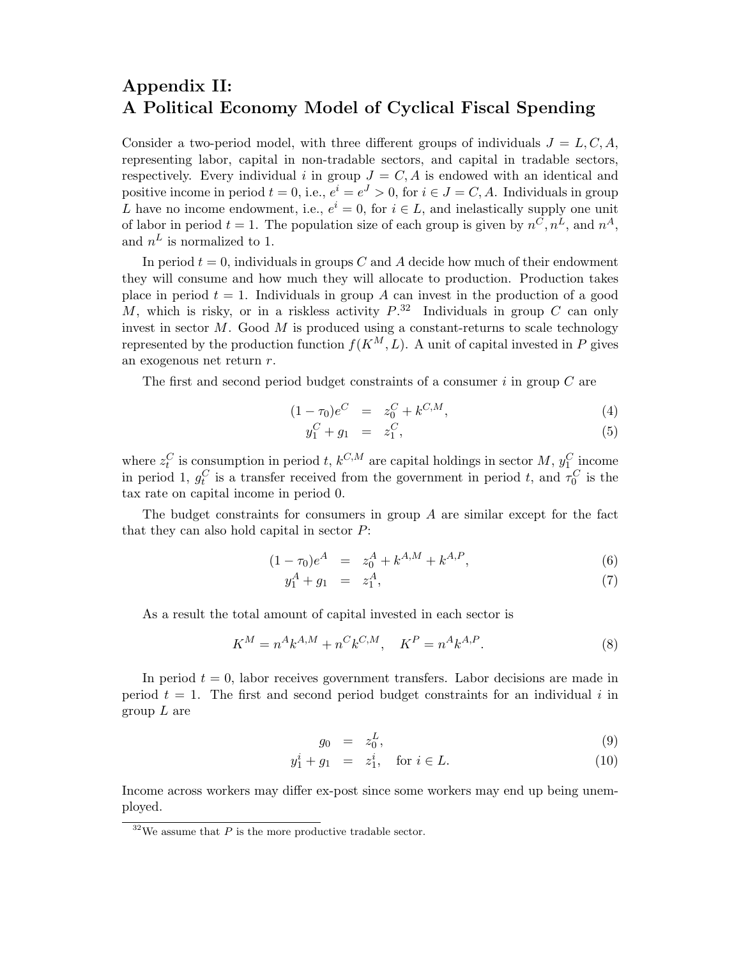# Appendix II: A Political Economy Model of Cyclical Fiscal Spending

Consider a two-period model, with three different groups of individuals  $J = L, C, A$ , representing labor, capital in non-tradable sectors, and capital in tradable sectors, respectively. Every individual i in group  $J = C, A$  is endowed with an identical and positive income in period  $t = 0$ , i.e.,  $e^{i} = e^{J} > 0$ , for  $i \in J = C, A$ . Individuals in group L have no income endowment, i.e.,  $e^i = 0$ , for  $i \in L$ , and inelastically supply one unit of labor in period  $t = 1$ . The population size of each group is given by  $n^C, n^L$ , and  $n^A$ , and  $n^L$  is normalized to 1.

In period  $t = 0$ , individuals in groups C and A decide how much of their endowment they will consume and how much they will allocate to production. Production takes place in period  $t = 1$ . Individuals in group A can invest in the production of a good M, which is risky, or in a riskless activity  $P^{32}$  Individuals in group C can only invest in sector  $M$ . Good  $M$  is produced using a constant-returns to scale technology represented by the production function  $f(K^M, L)$ . A unit of capital invested in P gives an exogenous net return r.

The first and second period budget constraints of a consumer  $i$  in group  $C$  are

$$
(1 - \tau_0)e^C = z_0^C + k^{C,M}, \tag{4}
$$

$$
y_1^C + g_1 = z_1^C, \tag{5}
$$

where  $z_t^C$  is consumption in period t,  $k^{C,M}$  are capital holdings in sector M,  $y_1^C$  income in period 1,  $g_t^C$  is a transfer received from the government in period t, and  $\tau_0^C$  is the tax rate on capital income in period 0.

The budget constraints for consumers in group  $A$  are similar except for the fact that they can also hold capital in sector  $P$ :

$$
(1 - \tau_0)e^A = z_0^A + k^{A,M} + k^{A,P}, \tag{6}
$$

$$
y_1^A + g_1 = z_1^A, \t\t(7)
$$

As a result the total amount of capital invested in each sector is

$$
K^M = n^A k^{A,M} + n^C k^{C,M}, \quad K^P = n^A k^{A,P}.
$$
\n(8)

In period  $t = 0$ , labor receives government transfers. Labor decisions are made in period  $t = 1$ . The first and second period budget constraints for an individual i in group  $L$  are

$$
g_0 = z_0^L,\tag{9}
$$

$$
y_1^i + g_1 = z_1^i, \text{ for } i \in L.
$$
 (10)

Income across workers may differ ex-post since some workers may end up being unemployed.

 $32$ We assume that P is the more productive tradable sector.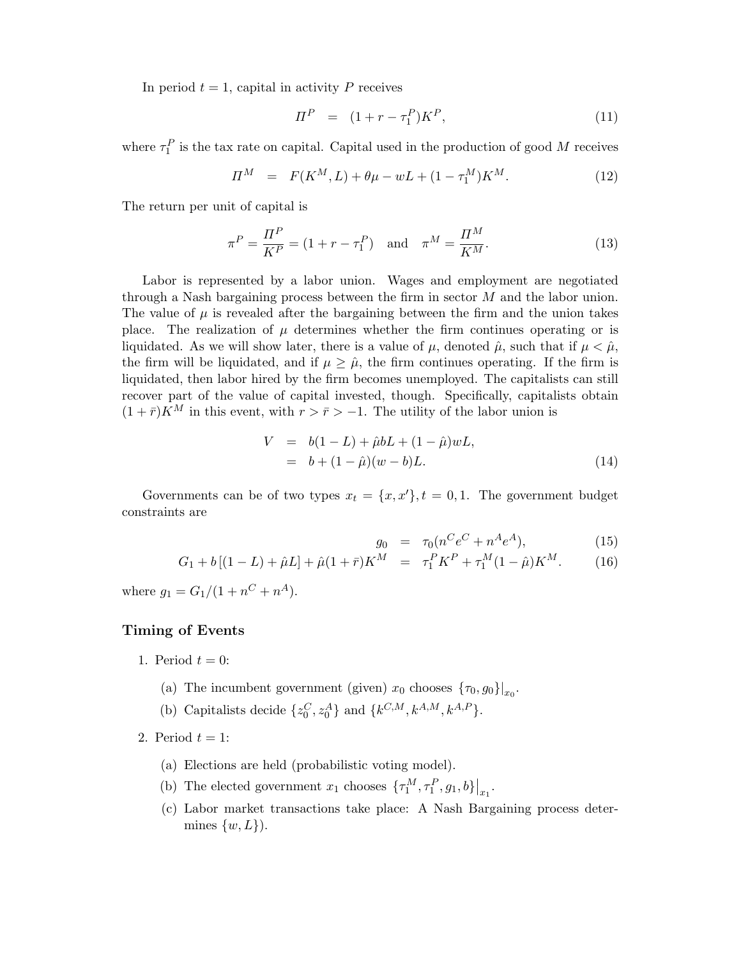In period  $t = 1$ , capital in activity P receives

$$
\Pi^P = (1 + r - \tau_1^P)K^P, \tag{11}
$$

where  $\tau_1^P$  is the tax rate on capital. Capital used in the production of good M receives

$$
\Pi^M = F(K^M, L) + \theta \mu - wL + (1 - \tau_1^M) K^M. \tag{12}
$$

The return per unit of capital is

$$
\pi^{P} = \frac{\Pi^{P}}{K^{P}} = (1 + r - \tau_{1}^{P}) \text{ and } \pi^{M} = \frac{\Pi^{M}}{K^{M}}.
$$
 (13)

Labor is represented by a labor union. Wages and employment are negotiated through a Nash bargaining process between the firm in sector M and the labor union. The value of  $\mu$  is revealed after the bargaining between the firm and the union takes place. The realization of  $\mu$  determines whether the firm continues operating or is liquidated. As we will show later, there is a value of  $\mu$ , denoted  $\hat{\mu}$ , such that if  $\mu < \hat{\mu}$ , the firm will be liquidated, and if  $\mu \geq \hat{\mu}$ , the firm continues operating. If the firm is liquidated, then labor hired by the firm becomes unemployed. The capitalists can still recover part of the value of capital invested, though. Specifically, capitalists obtain  $(1 + \bar{r})\overline{K}^M$  in this event, with  $r > \bar{r} > -1$ . The utility of the labor union is

$$
V = b(1 - L) + \hat{\mu}bL + (1 - \hat{\mu})wL,
$$
  
= b + (1 - \hat{\mu})(w - b)L. (14)

Governments can be of two types  $x_t = \{x, x'\}, t = 0, 1$ . The government budget constraints are

$$
g_0 = \tau_0 (n^C e^C + n^A e^A), \tag{15}
$$

$$
G_1 + b[(1 - L) + \hat{\mu}L] + \hat{\mu}(1 + \bar{r})K^M = \tau_1^P K^P + \tau_1^M (1 - \hat{\mu})K^M.
$$
 (16)

where  $g_1 = G_1/(1 + n^C + n^A)$ .

#### Timing of Events

- 1. Period  $t = 0$ :
	- (a) The incumbent government (given)  $x_0$  chooses  $\{\tau_0, g_0\}|_{x_0}$ .
	- (b) Capitalists decide  $\{z_0^C, z_0^A\}$  and  $\{k^{C,M}, k^{A,M}, k^{A,P}\}.$
- 2. Period  $t = 1$ :
	- (a) Elections are held (probabilistic voting model).
	- (b) The elected government  $x_1$  chooses  $\{\tau_1^M, \tau_1^P, g_1, b\}\big|_{x_1}$ .
	- (c) Labor market transactions take place: A Nash Bargaining process determines  $\{w, L\}$ ).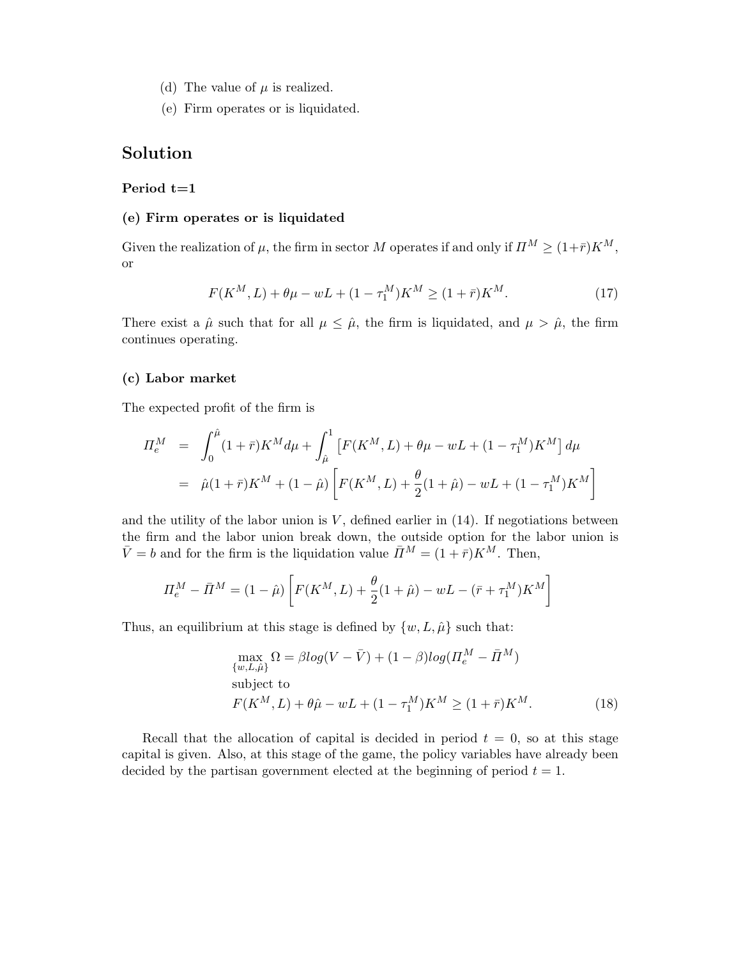- (d) The value of  $\mu$  is realized.
- (e) Firm operates or is liquidated.

# Solution

#### Period  $t=1$

### (e) Firm operates or is liquidated

Given the realization of  $\mu$ , the firm in sector M operates if and only if  $\Pi^M \ge (1+\bar{r})K^M$ , or

$$
F(K^{M}, L) + \theta \mu - wL + (1 - \tau_1^{M})K^{M} \ge (1 + \bar{r})K^{M}.
$$
 (17)

There exist a  $\hat{\mu}$  such that for all  $\mu \leq \hat{\mu}$ , the firm is liquidated, and  $\mu > \hat{\mu}$ , the firm continues operating.

## (c) Labor market

The expected profit of the firm is

$$
II_e^M = \int_0^{\hat{\mu}} (1+\bar{r}) K^M d\mu + \int_{\hat{\mu}}^1 \left[ F(K^M, L) + \theta \mu - wL + (1 - \tau_1^M) K^M \right] d\mu
$$
  
=  $\hat{\mu} (1+\bar{r}) K^M + (1 - \hat{\mu}) \left[ F(K^M, L) + \frac{\theta}{2} (1 + \hat{\mu}) - wL + (1 - \tau_1^M) K^M \right]$ 

and the utility of the labor union is  $V$ , defined earlier in  $(14)$ . If negotiations between the firm and the labor union break down, the outside option for the labor union is  $\bar{V} = b$  and for the firm is the liquidation value  $\bar{\Pi}^M = (1 + \bar{r})K^M$ . Then,

$$
\Pi_e^M - \bar{\Pi}^M = (1 - \hat{\mu}) \left[ F(K^M, L) + \frac{\theta}{2} (1 + \hat{\mu}) - wL - (\bar{r} + \tau_1^M) K^M \right]
$$

Thus, an equilibrium at this stage is defined by  $\{w, L, \hat{\mu}\}\$  such that:

$$
\max_{\{w,L,\hat{\mu}\}} \Omega = \beta \log(V - \bar{V}) + (1 - \beta) \log(\Pi_e^M - \bar{\Pi}^M)
$$
\nsubject to\n
$$
F(K^M, L) + \theta \hat{\mu} - wL + (1 - \tau_1^M) K^M \ge (1 + \bar{r}) K^M.
$$
\n(18)

Recall that the allocation of capital is decided in period  $t = 0$ , so at this stage capital is given. Also, at this stage of the game, the policy variables have already been decided by the partisan government elected at the beginning of period  $t = 1$ .